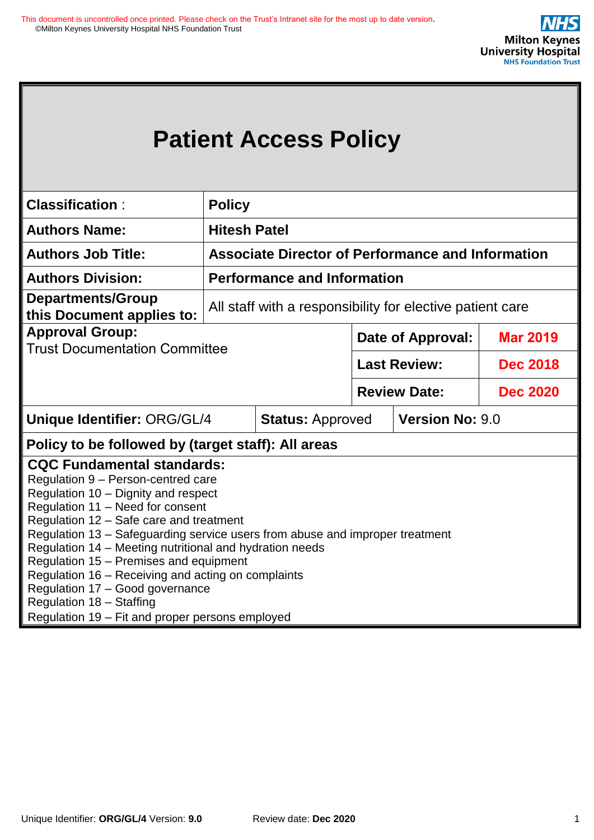|                                                                                                                                                                                                                                                                                                                                                                                                                                                                                                                                                                                                                  |                                                          | <b>Patient Access Policy</b>                              |                          |                     |                 |
|------------------------------------------------------------------------------------------------------------------------------------------------------------------------------------------------------------------------------------------------------------------------------------------------------------------------------------------------------------------------------------------------------------------------------------------------------------------------------------------------------------------------------------------------------------------------------------------------------------------|----------------------------------------------------------|-----------------------------------------------------------|--------------------------|---------------------|-----------------|
| <b>Classification:</b>                                                                                                                                                                                                                                                                                                                                                                                                                                                                                                                                                                                           | <b>Policy</b>                                            |                                                           |                          |                     |                 |
| <b>Authors Name:</b>                                                                                                                                                                                                                                                                                                                                                                                                                                                                                                                                                                                             | <b>Hitesh Patel</b>                                      |                                                           |                          |                     |                 |
| <b>Authors Job Title:</b>                                                                                                                                                                                                                                                                                                                                                                                                                                                                                                                                                                                        | <b>Associate Director of Performance and Information</b> |                                                           |                          |                     |                 |
| <b>Authors Division:</b>                                                                                                                                                                                                                                                                                                                                                                                                                                                                                                                                                                                         |                                                          | <b>Performance and Information</b>                        |                          |                     |                 |
| <b>Departments/Group</b><br>this Document applies to:                                                                                                                                                                                                                                                                                                                                                                                                                                                                                                                                                            |                                                          | All staff with a responsibility for elective patient care |                          |                     |                 |
| <b>Approval Group:</b>                                                                                                                                                                                                                                                                                                                                                                                                                                                                                                                                                                                           |                                                          |                                                           | <b>Date of Approval:</b> |                     | <b>Mar 2019</b> |
| <b>Trust Documentation Committee</b>                                                                                                                                                                                                                                                                                                                                                                                                                                                                                                                                                                             |                                                          |                                                           |                          | <b>Last Review:</b> | <b>Dec 2018</b> |
|                                                                                                                                                                                                                                                                                                                                                                                                                                                                                                                                                                                                                  |                                                          |                                                           |                          | <b>Review Date:</b> | <b>Dec 2020</b> |
| Unique Identifier: ORG/GL/4<br><b>Version No: 9.0</b><br><b>Status: Approved</b>                                                                                                                                                                                                                                                                                                                                                                                                                                                                                                                                 |                                                          |                                                           |                          |                     |                 |
|                                                                                                                                                                                                                                                                                                                                                                                                                                                                                                                                                                                                                  |                                                          |                                                           |                          |                     |                 |
| Policy to be followed by (target staff): All areas<br><b>CQC Fundamental standards:</b><br>Regulation 9 - Person-centred care<br>Regulation 10 - Dignity and respect<br>Regulation 11 - Need for consent<br>Regulation 12 - Safe care and treatment<br>Regulation 13 - Safeguarding service users from abuse and improper treatment<br>Regulation 14 - Meeting nutritional and hydration needs<br>Regulation 15 - Premises and equipment<br>Regulation 16 - Receiving and acting on complaints<br>Regulation 17 - Good governance<br>Regulation 18 - Staffing<br>Regulation 19 - Fit and proper persons employed |                                                          |                                                           |                          |                     |                 |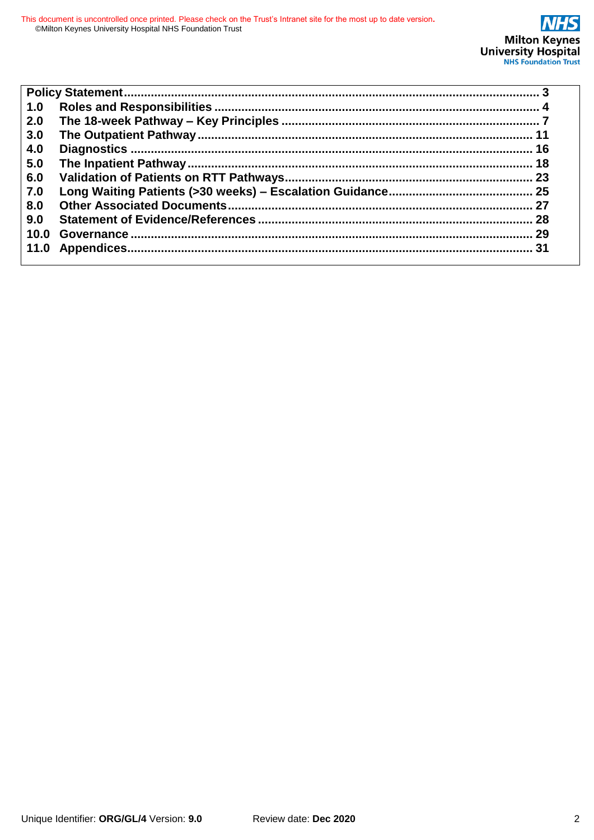| 1.0  |    |
|------|----|
| 2.0  |    |
| 3.0  |    |
| 4.0  | 16 |
| 5.0  |    |
| 6.0  |    |
| 7.0  |    |
| 8.0  |    |
| 9.0  |    |
| 10.0 |    |
| 11.0 |    |
|      |    |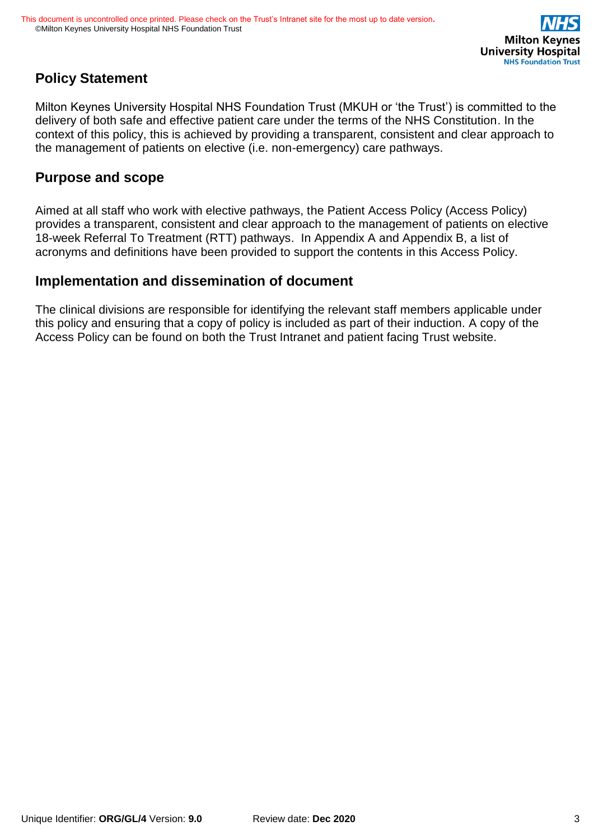## **Policy Statement**

Milton Keynes University Hospital NHS Foundation Trust (MKUH or 'the Trust') is committed to the delivery of both safe and effective patient care under the terms of the NHS Constitution. In the context of this policy, this is achieved by providing a transparent, consistent and clear approach to the management of patients on elective (i.e. non-emergency) care pathways.

## **Purpose and scope**

Aimed at all staff who work with elective pathways, the Patient Access Policy (Access Policy) provides a transparent, consistent and clear approach to the management of patients on elective 18-week Referral To Treatment (RTT) pathways. In Appendix A and Appendix B, a list of acronyms and definitions have been provided to support the contents in this Access Policy.

## **Implementation and dissemination of document**

The clinical divisions are responsible for identifying the relevant staff members applicable under this policy and ensuring that a copy of policy is included as part of their induction. A copy of the Access Policy can be found on both the Trust Intranet and patient facing Trust website.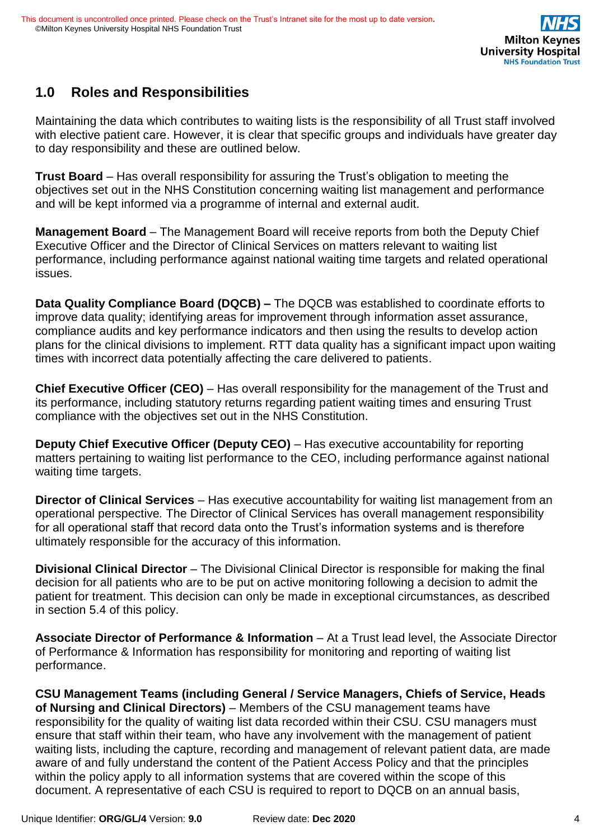

## **1.0 Roles and Responsibilities**

Maintaining the data which contributes to waiting lists is the responsibility of all Trust staff involved with elective patient care. However, it is clear that specific groups and individuals have greater day to day responsibility and these are outlined below.

**Trust Board** – Has overall responsibility for assuring the Trust's obligation to meeting the objectives set out in the NHS Constitution concerning waiting list management and performance and will be kept informed via a programme of internal and external audit.

**Management Board** – The Management Board will receive reports from both the Deputy Chief Executive Officer and the Director of Clinical Services on matters relevant to waiting list performance, including performance against national waiting time targets and related operational issues.

**Data Quality Compliance Board (DQCB) –** The DQCB was established to coordinate efforts to improve data quality; identifying areas for improvement through information asset assurance, compliance audits and key performance indicators and then using the results to develop action plans for the clinical divisions to implement. RTT data quality has a significant impact upon waiting times with incorrect data potentially affecting the care delivered to patients.

**Chief Executive Officer (CEO)** – Has overall responsibility for the management of the Trust and its performance, including statutory returns regarding patient waiting times and ensuring Trust compliance with the objectives set out in the NHS Constitution.

**Deputy Chief Executive Officer (Deputy CEO)** – Has executive accountability for reporting matters pertaining to waiting list performance to the CEO, including performance against national waiting time targets.

**Director of Clinical Services** – Has executive accountability for waiting list management from an operational perspective*.* The Director of Clinical Services has overall management responsibility for all operational staff that record data onto the Trust's information systems and is therefore ultimately responsible for the accuracy of this information.

**Divisional Clinical Director** – The Divisional Clinical Director is responsible for making the final decision for all patients who are to be put on active monitoring following a decision to admit the patient for treatment. This decision can only be made in exceptional circumstances, as described in section 5.4 of this policy.

**Associate Director of Performance & Information** – At a Trust lead level, the Associate Director of Performance & Information has responsibility for monitoring and reporting of waiting list performance.

**CSU Management Teams (including General / Service Managers, Chiefs of Service, Heads of Nursing and Clinical Directors)** – Members of the CSU management teams have responsibility for the quality of waiting list data recorded within their CSU. CSU managers must ensure that staff within their team, who have any involvement with the management of patient waiting lists, including the capture, recording and management of relevant patient data, are made aware of and fully understand the content of the Patient Access Policy and that the principles within the policy apply to all information systems that are covered within the scope of this document. A representative of each CSU is required to report to DQCB on an annual basis,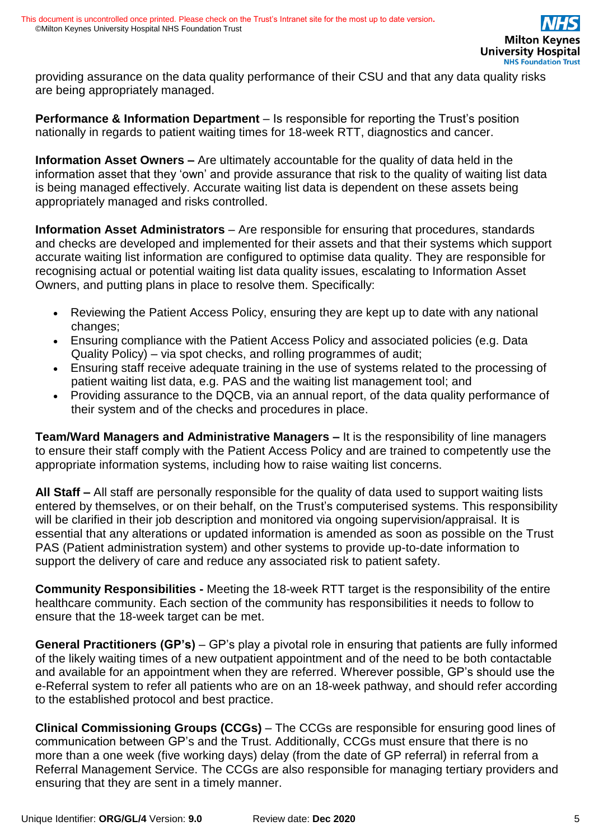providing assurance on the data quality performance of their CSU and that any data quality risks are being appropriately managed.

**Performance & Information Department** – Is responsible for reporting the Trust's position nationally in regards to patient waiting times for 18-week RTT, diagnostics and cancer.

**Information Asset Owners –** Are ultimately accountable for the quality of data held in the information asset that they 'own' and provide assurance that risk to the quality of waiting list data is being managed effectively. Accurate waiting list data is dependent on these assets being appropriately managed and risks controlled.

**Information Asset Administrators** – Are responsible for ensuring that procedures, standards and checks are developed and implemented for their assets and that their systems which support accurate waiting list information are configured to optimise data quality. They are responsible for recognising actual or potential waiting list data quality issues, escalating to Information Asset Owners, and putting plans in place to resolve them. Specifically:

- Reviewing the Patient Access Policy, ensuring they are kept up to date with any national changes;
- Ensuring compliance with the Patient Access Policy and associated policies (e.g. Data Quality Policy) – via spot checks, and rolling programmes of audit;
- Ensuring staff receive adequate training in the use of systems related to the processing of patient waiting list data, e.g. PAS and the waiting list management tool; and
- Providing assurance to the DQCB, via an annual report, of the data quality performance of their system and of the checks and procedures in place.

**Team/Ward Managers and Administrative Managers –** It is the responsibility of line managers to ensure their staff comply with the Patient Access Policy and are trained to competently use the appropriate information systems, including how to raise waiting list concerns.

**All Staff –** All staff are personally responsible for the quality of data used to support waiting lists entered by themselves, or on their behalf, on the Trust's computerised systems. This responsibility will be clarified in their job description and monitored via ongoing supervision/appraisal. It is essential that any alterations or updated information is amended as soon as possible on the Trust PAS (Patient administration system) and other systems to provide up-to-date information to support the delivery of care and reduce any associated risk to patient safety.

**Community Responsibilities -** Meeting the 18-week RTT target is the responsibility of the entire healthcare community. Each section of the community has responsibilities it needs to follow to ensure that the 18-week target can be met.

**General Practitioners (GP's)** – GP's play a pivotal role in ensuring that patients are fully informed of the likely waiting times of a new outpatient appointment and of the need to be both contactable and available for an appointment when they are referred. Wherever possible, GP's should use the e-Referral system to refer all patients who are on an 18-week pathway, and should refer according to the established protocol and best practice.

**Clinical Commissioning Groups (CCGs)** – The CCGs are responsible for ensuring good lines of communication between GP's and the Trust. Additionally, CCGs must ensure that there is no more than a one week (five working days) delay (from the date of GP referral) in referral from a Referral Management Service. The CCGs are also responsible for managing tertiary providers and ensuring that they are sent in a timely manner.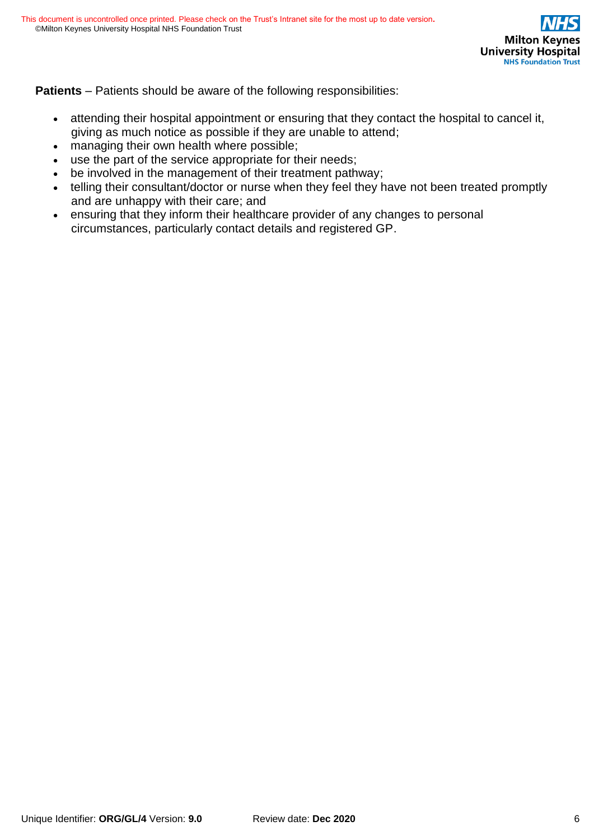**Patients** – Patients should be aware of the following responsibilities:

- attending their hospital appointment or ensuring that they contact the hospital to cancel it, giving as much notice as possible if they are unable to attend;
- managing their own health where possible;
- use the part of the service appropriate for their needs;
- be involved in the management of their treatment pathway;
- telling their consultant/doctor or nurse when they feel they have not been treated promptly and are unhappy with their care; and
- ensuring that they inform their healthcare provider of any changes to personal circumstances, particularly contact details and registered GP.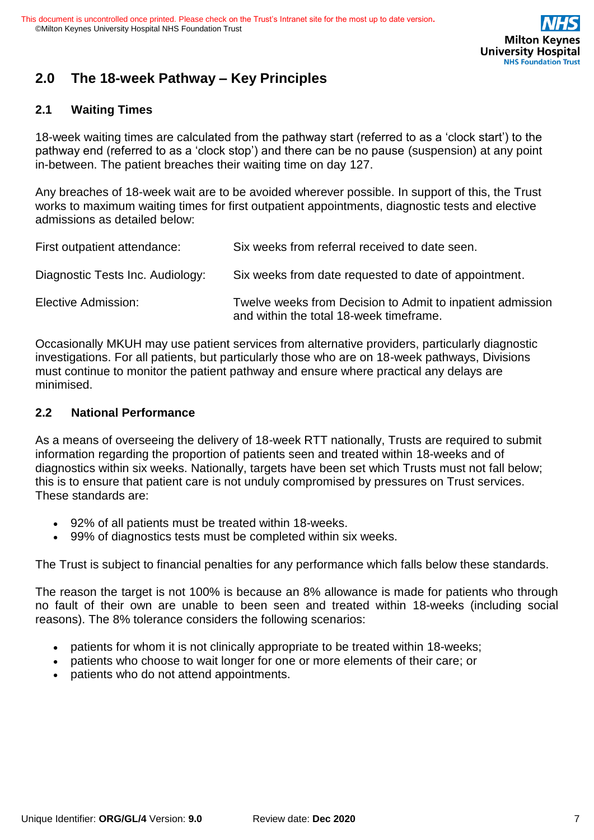

## **2.0 The 18-week Pathway – Key Principles**

### **2.1 Waiting Times**

18-week waiting times are calculated from the pathway start (referred to as a 'clock start') to the pathway end (referred to as a 'clock stop') and there can be no pause (suspension) at any point in-between. The patient breaches their waiting time on day 127.

Any breaches of 18-week wait are to be avoided wherever possible. In support of this, the Trust works to maximum waiting times for first outpatient appointments, diagnostic tests and elective admissions as detailed below:

| First outpatient attendance:     | Six weeks from referral received to date seen.                                                        |
|----------------------------------|-------------------------------------------------------------------------------------------------------|
| Diagnostic Tests Inc. Audiology: | Six weeks from date requested to date of appointment.                                                 |
| Elective Admission:              | Twelve weeks from Decision to Admit to inpatient admission<br>and within the total 18-week timeframe. |

Occasionally MKUH may use patient services from alternative providers, particularly diagnostic investigations. For all patients, but particularly those who are on 18-week pathways, Divisions must continue to monitor the patient pathway and ensure where practical any delays are minimised.

#### **2.2 National Performance**

As a means of overseeing the delivery of 18-week RTT nationally, Trusts are required to submit information regarding the proportion of patients seen and treated within 18-weeks and of diagnostics within six weeks. Nationally, targets have been set which Trusts must not fall below; this is to ensure that patient care is not unduly compromised by pressures on Trust services. These standards are:

- 92% of all patients must be treated within 18-weeks.
- 99% of diagnostics tests must be completed within six weeks.

The Trust is subject to financial penalties for any performance which falls below these standards.

The reason the target is not 100% is because an 8% allowance is made for patients who through no fault of their own are unable to been seen and treated within 18-weeks (including social reasons). The 8% tolerance considers the following scenarios:

- patients for whom it is not clinically appropriate to be treated within 18-weeks;
- patients who choose to wait longer for one or more elements of their care; or
- patients who do not attend appointments.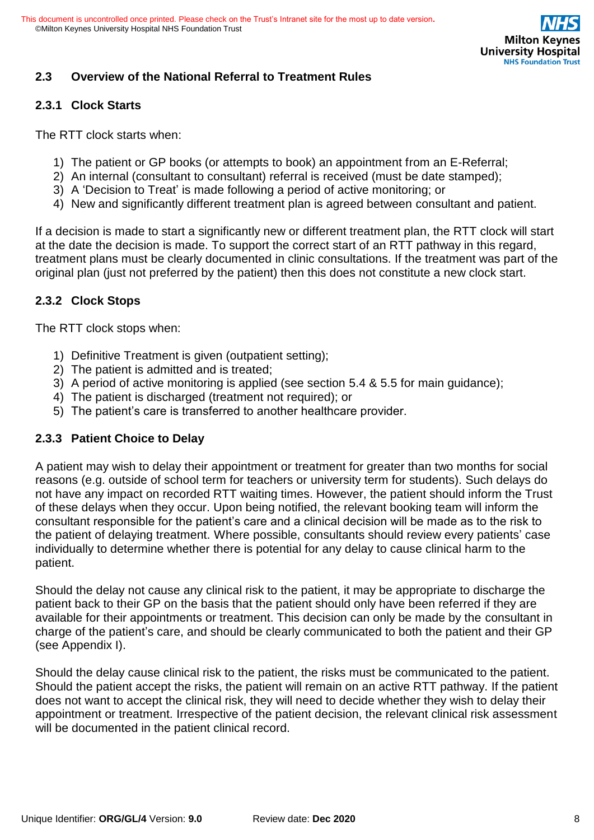

### **2.3 Overview of the National Referral to Treatment Rules**

#### **2.3.1 Clock Starts**

The RTT clock starts when:

- 1) The patient or GP books (or attempts to book) an appointment from an E-Referral;
- 2) An internal (consultant to consultant) referral is received (must be date stamped);
- 3) A 'Decision to Treat' is made following a period of active monitoring; or
- 4) New and significantly different treatment plan is agreed between consultant and patient.

If a decision is made to start a significantly new or different treatment plan, the RTT clock will start at the date the decision is made. To support the correct start of an RTT pathway in this regard, treatment plans must be clearly documented in clinic consultations. If the treatment was part of the original plan (just not preferred by the patient) then this does not constitute a new clock start.

#### **2.3.2 Clock Stops**

The RTT clock stops when:

- 1) Definitive Treatment is given (outpatient setting);
- 2) The patient is admitted and is treated;
- 3) A period of active monitoring is applied (see section 5.4 & 5.5 for main guidance);
- 4) The patient is discharged (treatment not required); or
- 5) The patient's care is transferred to another healthcare provider.

### **2.3.3 Patient Choice to Delay**

A patient may wish to delay their appointment or treatment for greater than two months for social reasons (e.g. outside of school term for teachers or university term for students). Such delays do not have any impact on recorded RTT waiting times. However, the patient should inform the Trust of these delays when they occur. Upon being notified, the relevant booking team will inform the consultant responsible for the patient's care and a clinical decision will be made as to the risk to the patient of delaying treatment. Where possible, consultants should review every patients' case individually to determine whether there is potential for any delay to cause clinical harm to the patient.

Should the delay not cause any clinical risk to the patient, it may be appropriate to discharge the patient back to their GP on the basis that the patient should only have been referred if they are available for their appointments or treatment. This decision can only be made by the consultant in charge of the patient's care, and should be clearly communicated to both the patient and their GP (see Appendix I).

Should the delay cause clinical risk to the patient, the risks must be communicated to the patient. Should the patient accept the risks, the patient will remain on an active RTT pathway. If the patient does not want to accept the clinical risk, they will need to decide whether they wish to delay their appointment or treatment. Irrespective of the patient decision, the relevant clinical risk assessment will be documented in the patient clinical record.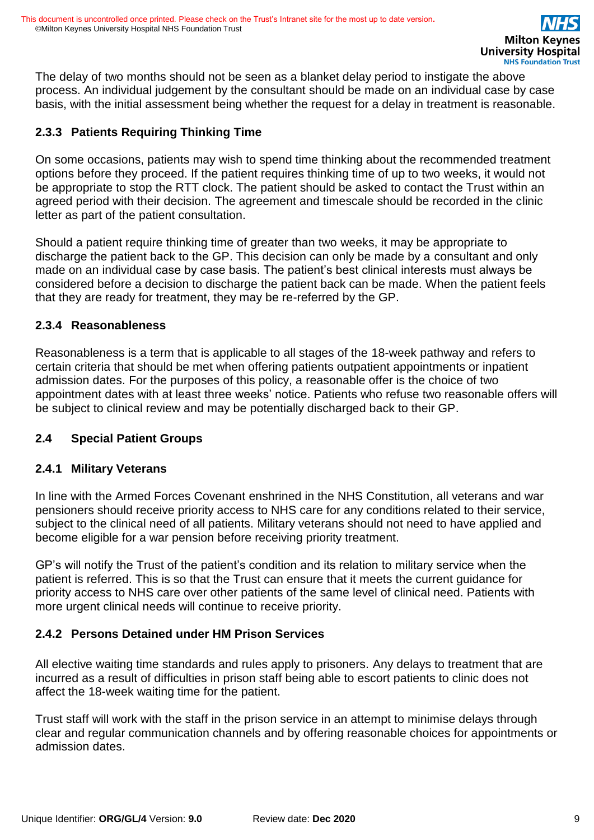The delay of two months should not be seen as a blanket delay period to instigate the above process. An individual judgement by the consultant should be made on an individual case by case basis, with the initial assessment being whether the request for a delay in treatment is reasonable.

### **2.3.3 Patients Requiring Thinking Time**

On some occasions, patients may wish to spend time thinking about the recommended treatment options before they proceed. If the patient requires thinking time of up to two weeks, it would not be appropriate to stop the RTT clock. The patient should be asked to contact the Trust within an agreed period with their decision. The agreement and timescale should be recorded in the clinic letter as part of the patient consultation.

Should a patient require thinking time of greater than two weeks, it may be appropriate to discharge the patient back to the GP. This decision can only be made by a consultant and only made on an individual case by case basis. The patient's best clinical interests must always be considered before a decision to discharge the patient back can be made. When the patient feels that they are ready for treatment, they may be re-referred by the GP.

#### **2.3.4 Reasonableness**

Reasonableness is a term that is applicable to all stages of the 18-week pathway and refers to certain criteria that should be met when offering patients outpatient appointments or inpatient admission dates. For the purposes of this policy, a reasonable offer is the choice of two appointment dates with at least three weeks' notice. Patients who refuse two reasonable offers will be subject to clinical review and may be potentially discharged back to their GP.

### **2.4 Special Patient Groups**

#### **2.4.1 Military Veterans**

In line with the Armed Forces Covenant enshrined in the NHS Constitution, all veterans and war pensioners should receive priority access to NHS care for any conditions related to their service, subject to the clinical need of all patients. Military veterans should not need to have applied and become eligible for a war pension before receiving priority treatment.

GP's will notify the Trust of the patient's condition and its relation to military service when the patient is referred. This is so that the Trust can ensure that it meets the current guidance for priority access to NHS care over other patients of the same level of clinical need. Patients with more urgent clinical needs will continue to receive priority.

### **2.4.2 Persons Detained under HM Prison Services**

All elective waiting time standards and rules apply to prisoners. Any delays to treatment that are incurred as a result of difficulties in prison staff being able to escort patients to clinic does not affect the 18-week waiting time for the patient.

Trust staff will work with the staff in the prison service in an attempt to minimise delays through clear and regular communication channels and by offering reasonable choices for appointments or admission dates.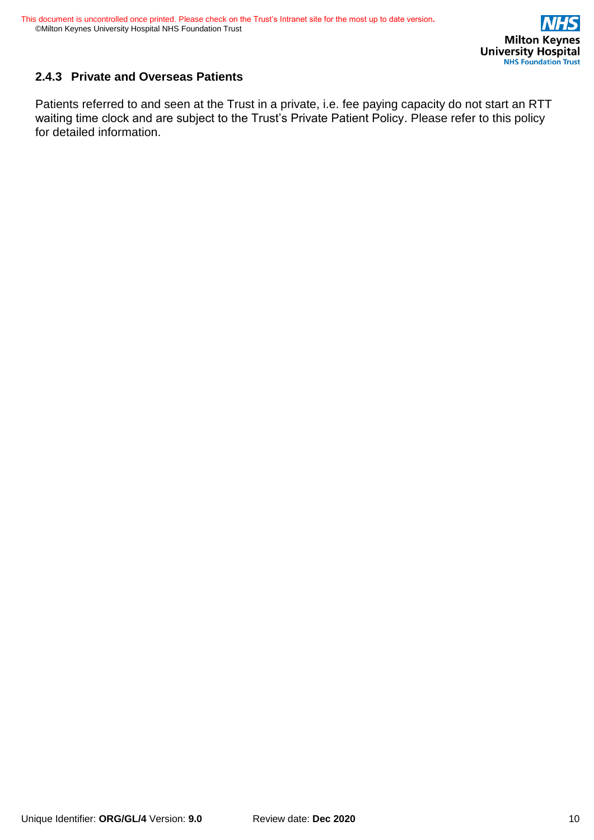

## **2.4.3 Private and Overseas Patients**

Patients referred to and seen at the Trust in a private, i.e. fee paying capacity do not start an RTT waiting time clock and are subject to the Trust's Private Patient Policy. Please refer to this policy for detailed information.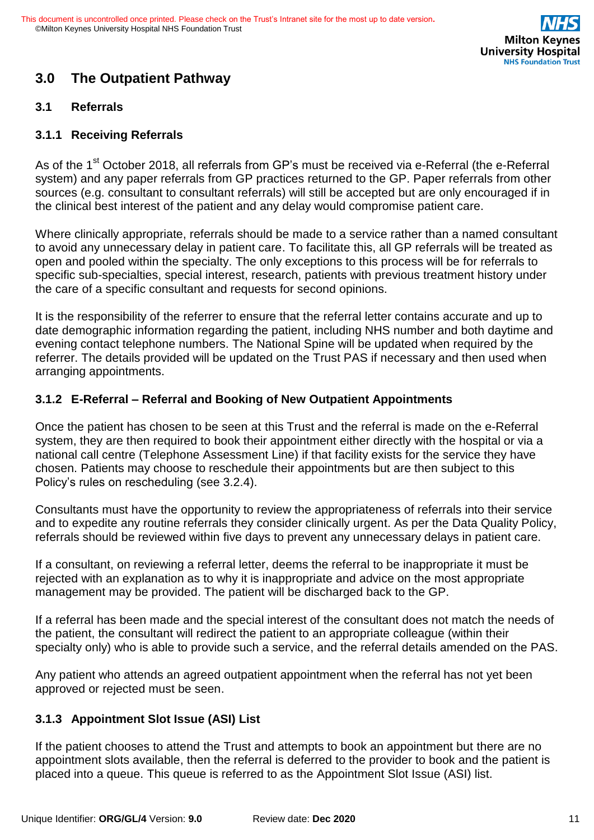

# **3.0 The Outpatient Pathway**

#### **3.1 Referrals**

#### **3.1.1 Receiving Referrals**

As of the 1<sup>st</sup> October 2018, all referrals from GP's must be received via e-Referral (the e-Referral system) and any paper referrals from GP practices returned to the GP. Paper referrals from other sources (e.g. consultant to consultant referrals) will still be accepted but are only encouraged if in the clinical best interest of the patient and any delay would compromise patient care.

Where clinically appropriate, referrals should be made to a service rather than a named consultant to avoid any unnecessary delay in patient care. To facilitate this, all GP referrals will be treated as open and pooled within the specialty. The only exceptions to this process will be for referrals to specific sub-specialties, special interest, research, patients with previous treatment history under the care of a specific consultant and requests for second opinions.

It is the responsibility of the referrer to ensure that the referral letter contains accurate and up to date demographic information regarding the patient, including NHS number and both daytime and evening contact telephone numbers. The National Spine will be updated when required by the referrer. The details provided will be updated on the Trust PAS if necessary and then used when arranging appointments.

#### **3.1.2 E-Referral – Referral and Booking of New Outpatient Appointments**

Once the patient has chosen to be seen at this Trust and the referral is made on the e-Referral system, they are then required to book their appointment either directly with the hospital or via a national call centre (Telephone Assessment Line) if that facility exists for the service they have chosen. Patients may choose to reschedule their appointments but are then subject to this Policy's rules on rescheduling (see 3.2.4).

Consultants must have the opportunity to review the appropriateness of referrals into their service and to expedite any routine referrals they consider clinically urgent. As per the Data Quality Policy, referrals should be reviewed within five days to prevent any unnecessary delays in patient care.

If a consultant, on reviewing a referral letter, deems the referral to be inappropriate it must be rejected with an explanation as to why it is inappropriate and advice on the most appropriate management may be provided. The patient will be discharged back to the GP.

If a referral has been made and the special interest of the consultant does not match the needs of the patient, the consultant will redirect the patient to an appropriate colleague (within their specialty only) who is able to provide such a service, and the referral details amended on the PAS.

Any patient who attends an agreed outpatient appointment when the referral has not yet been approved or rejected must be seen.

### **3.1.3 Appointment Slot Issue (ASI) List**

If the patient chooses to attend the Trust and attempts to book an appointment but there are no appointment slots available, then the referral is deferred to the provider to book and the patient is placed into a queue. This queue is referred to as the Appointment Slot Issue (ASI) list.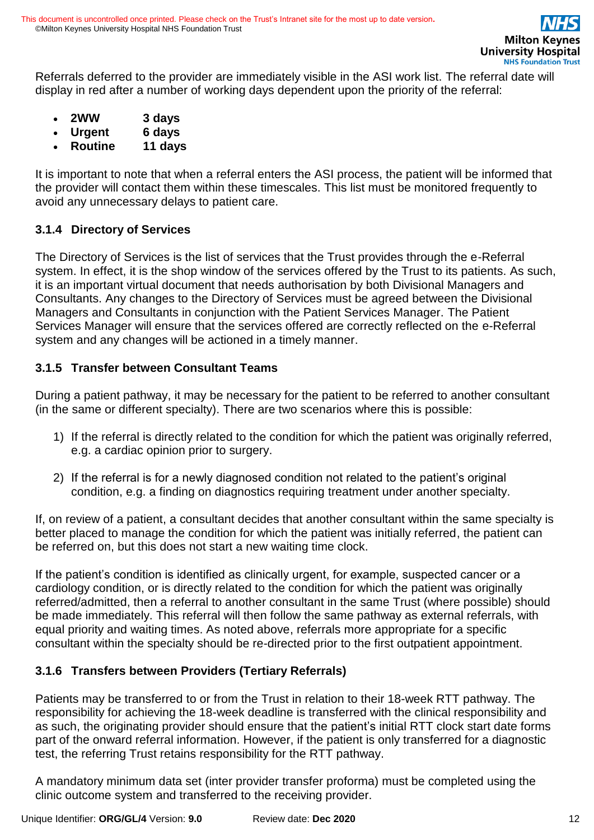Referrals deferred to the provider are immediately visible in the ASI work list. The referral date will display in red after a number of working days dependent upon the priority of the referral:

- **2WW 3 days**
- **Urgent 6 days**
- **Routine 11 days**

It is important to note that when a referral enters the ASI process, the patient will be informed that the provider will contact them within these timescales. This list must be monitored frequently to avoid any unnecessary delays to patient care.

### **3.1.4 Directory of Services**

The Directory of Services is the list of services that the Trust provides through the e-Referral system. In effect, it is the shop window of the services offered by the Trust to its patients. As such, it is an important virtual document that needs authorisation by both Divisional Managers and Consultants. Any changes to the Directory of Services must be agreed between the Divisional Managers and Consultants in conjunction with the Patient Services Manager. The Patient Services Manager will ensure that the services offered are correctly reflected on the e-Referral system and any changes will be actioned in a timely manner.

### **3.1.5 Transfer between Consultant Teams**

During a patient pathway, it may be necessary for the patient to be referred to another consultant (in the same or different specialty). There are two scenarios where this is possible:

- 1) If the referral is directly related to the condition for which the patient was originally referred, e.g. a cardiac opinion prior to surgery.
- 2) If the referral is for a newly diagnosed condition not related to the patient's original condition, e.g. a finding on diagnostics requiring treatment under another specialty.

If, on review of a patient, a consultant decides that another consultant within the same specialty is better placed to manage the condition for which the patient was initially referred, the patient can be referred on, but this does not start a new waiting time clock.

If the patient's condition is identified as clinically urgent, for example, suspected cancer or a cardiology condition, or is directly related to the condition for which the patient was originally referred/admitted, then a referral to another consultant in the same Trust (where possible) should be made immediately. This referral will then follow the same pathway as external referrals, with equal priority and waiting times. As noted above, referrals more appropriate for a specific consultant within the specialty should be re-directed prior to the first outpatient appointment.

## **3.1.6 Transfers between Providers (Tertiary Referrals)**

Patients may be transferred to or from the Trust in relation to their 18-week RTT pathway. The responsibility for achieving the 18-week deadline is transferred with the clinical responsibility and as such, the originating provider should ensure that the patient's initial RTT clock start date forms part of the onward referral information. However, if the patient is only transferred for a diagnostic test, the referring Trust retains responsibility for the RTT pathway.

A mandatory minimum data set (inter provider transfer proforma) must be completed using the clinic outcome system and transferred to the receiving provider.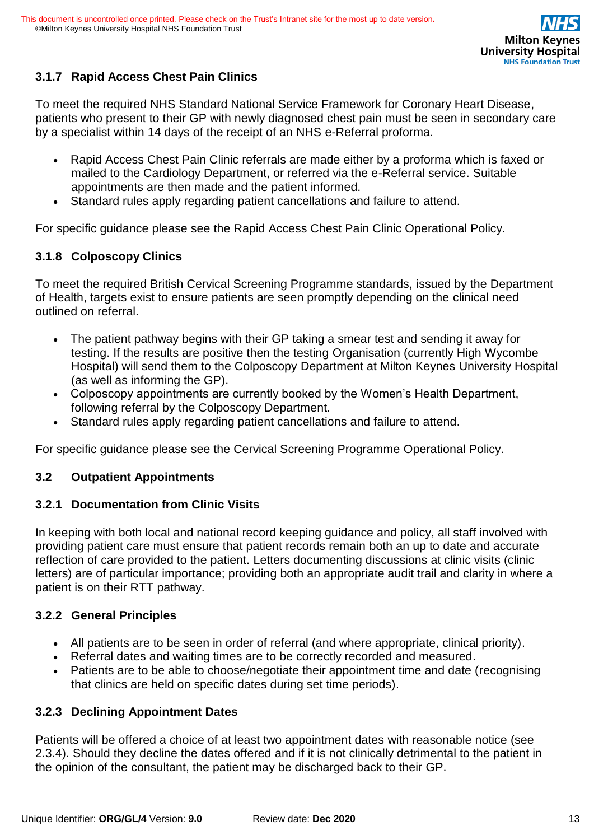## **3.1.7 Rapid Access Chest Pain Clinics**

To meet the required NHS Standard National Service Framework for Coronary Heart Disease, patients who present to their GP with newly diagnosed chest pain must be seen in secondary care by a specialist within 14 days of the receipt of an NHS e-Referral proforma.

- Rapid Access Chest Pain Clinic referrals are made either by a [proforma w](http://www.mkgeneral.nhs.uk/gps/specialist_clinic_referral_proformas.asp)hich is faxed or mailed to the Cardiology Department, or referred via the e-Referral service. Suitable appointments are then made and the patient informed.
- Standard rules apply regarding patient cancellations and failure to attend.

For specific guidance please see the Rapid Access Chest Pain Clinic Operational Policy.

### **3.1.8 Colposcopy Clinics**

To meet the required British Cervical Screening Programme standards, issued by the Department of Health, targets exist to ensure patients are seen promptly depending on the clinical need outlined on referral.

- The patient pathway begins with their GP taking a smear test and sending it away for testing. If the results are positive then the testing Organisation (currently High Wycombe Hospital) will send them to the Colposcopy Department at Milton Keynes University Hospital (as well as informing the GP).
- Colposcopy appointments are currently booked by the Women's Health Department, following referral by the Colposcopy Department.
- Standard rules apply regarding patient cancellations and failure to attend.

For specific guidance please see the Cervical Screening Programme Operational Policy.

### **3.2 Outpatient Appointments**

### **3.2.1 Documentation from Clinic Visits**

In keeping with both local and national record keeping guidance and policy, all staff involved with providing patient care must ensure that patient records remain both an up to date and accurate reflection of care provided to the patient. Letters documenting discussions at clinic visits (clinic letters) are of particular importance; providing both an appropriate audit trail and clarity in where a patient is on their RTT pathway.

### **3.2.2 General Principles**

- All patients are to be seen in order of referral (and where appropriate, clinical priority).
- Referral dates and waiting times are to be correctly recorded and measured.
- Patients are to be able to choose/negotiate their appointment time and date (recognising that clinics are held on specific dates during set time periods).

### **3.2.3 Declining Appointment Dates**

Patients will be offered a choice of at least two appointment dates with reasonable notice (see 2.3.4). Should they decline the dates offered and if it is not clinically detrimental to the patient in the opinion of the consultant, the patient may be discharged back to their GP.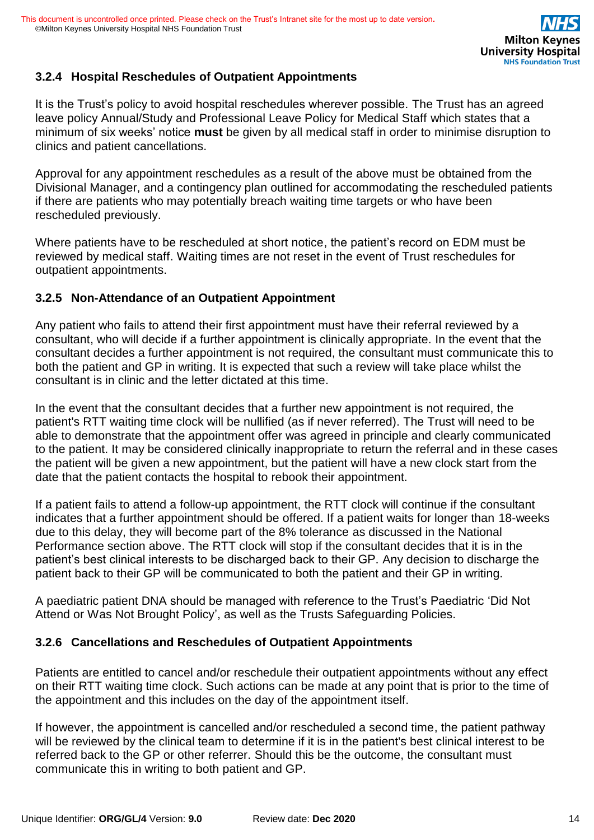## **3.2.4 Hospital Reschedules of Outpatient Appointments**

It is the Trust's policy to avoid hospital reschedules wherever possible. The Trust has an agreed leave policy Annual/Study and Professional Leave Policy for Medical Staff which states that a minimum of six weeks' notice **must** be given by all medical staff in order to minimise disruption to clinics and patient cancellations.

Approval for any appointment reschedules as a result of the above must be obtained from the Divisional Manager, and a contingency plan outlined for accommodating the rescheduled patients if there are patients who may potentially breach waiting time targets or who have been rescheduled previously.

Where patients have to be rescheduled at short notice, the patient's record on EDM must be reviewed by medical staff. Waiting times are not reset in the event of Trust reschedules for outpatient appointments.

#### **3.2.5 Non-Attendance of an Outpatient Appointment**

Any patient who fails to attend their first appointment must have their referral reviewed by a consultant, who will decide if a further appointment is clinically appropriate. In the event that the consultant decides a further appointment is not required, the consultant must communicate this to both the patient and GP in writing. It is expected that such a review will take place whilst the consultant is in clinic and the letter dictated at this time.

In the event that the consultant decides that a further new appointment is not required, the patient's RTT waiting time clock will be nullified (as if never referred). The Trust will need to be able to demonstrate that the appointment offer was agreed in principle and clearly communicated to the patient. It may be considered clinically inappropriate to return the referral and in these cases the patient will be given a new appointment, but the patient will have a new clock start from the date that the patient contacts the hospital to rebook their appointment.

If a patient fails to attend a follow-up appointment, the RTT clock will continue if the consultant indicates that a further appointment should be offered. If a patient waits for longer than 18-weeks due to this delay, they will become part of the 8% tolerance as discussed in the National Performance section above. The RTT clock will stop if the consultant decides that it is in the patient's best clinical interests to be discharged back to their GP. Any decision to discharge the patient back to their GP will be communicated to both the patient and their GP in writing.

A paediatric patient DNA should be managed with reference to the Trust's Paediatric 'Did Not Attend or Was Not Brought Policy', as well as the Trusts Safeguarding Policies.

### **3.2.6 Cancellations and Reschedules of Outpatient Appointments**

Patients are entitled to cancel and/or reschedule their outpatient appointments without any effect on their RTT waiting time clock. Such actions can be made at any point that is prior to the time of the appointment and this includes on the day of the appointment itself.

If however, the appointment is cancelled and/or rescheduled a second time, the patient pathway will be reviewed by the clinical team to determine if it is in the patient's best clinical interest to be referred back to the GP or other referrer. Should this be the outcome, the consultant must communicate this in writing to both patient and GP.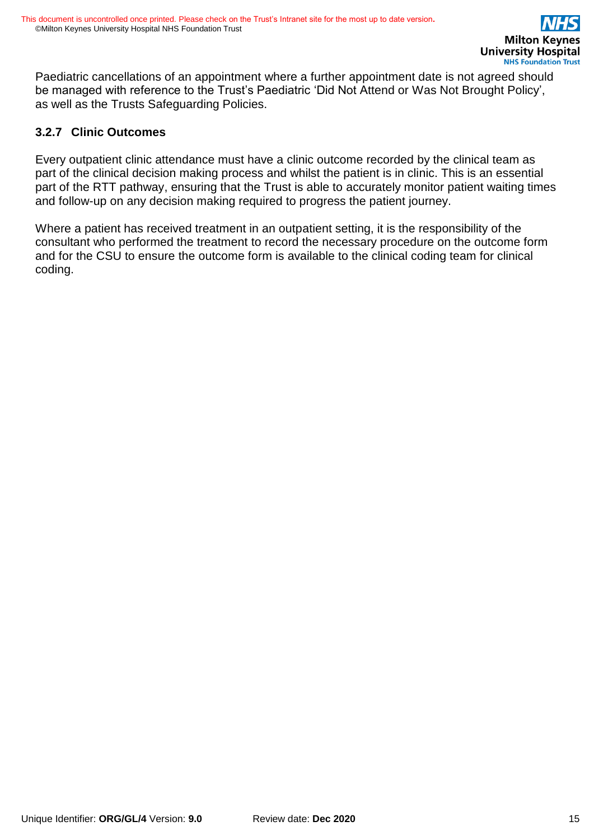Paediatric cancellations of an appointment where a further appointment date is not agreed should be managed with reference to the Trust's Paediatric 'Did Not Attend or Was Not Brought Policy', as well as the Trusts Safeguarding Policies.

#### **3.2.7 Clinic Outcomes**

Every outpatient clinic attendance must have a clinic outcome recorded by the clinical team as part of the clinical decision making process and whilst the patient is in clinic. This is an essential part of the RTT pathway, ensuring that the Trust is able to accurately monitor patient waiting times and follow-up on any decision making required to progress the patient journey.

Where a patient has received treatment in an outpatient setting, it is the responsibility of the consultant who performed the treatment to record the necessary procedure on the outcome form and for the CSU to ensure the outcome form is available to the clinical coding team for clinical coding.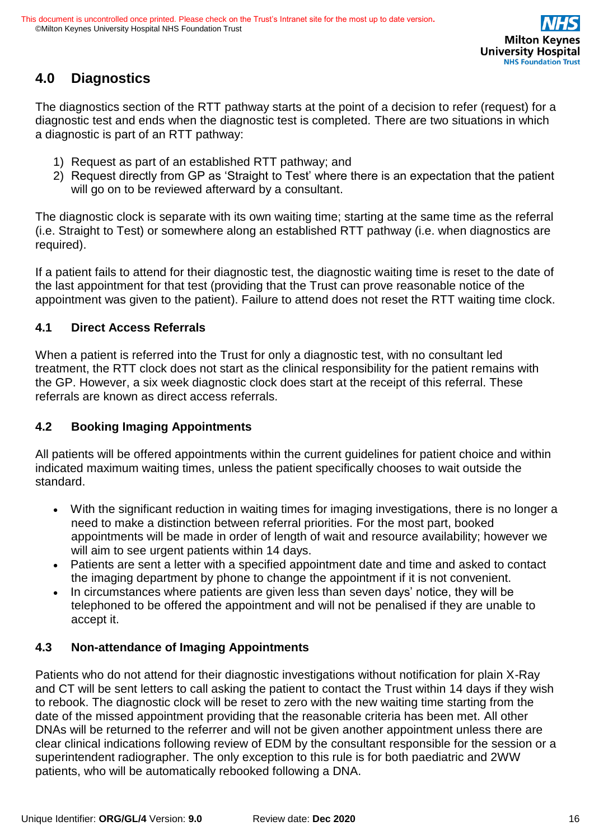

## **4.0 Diagnostics**

The diagnostics section of the RTT pathway starts at the point of a decision to refer (request) for a diagnostic test and ends when the diagnostic test is completed. There are two situations in which a diagnostic is part of an RTT pathway:

- 1) Request as part of an established RTT pathway; and
- 2) Request directly from GP as 'Straight to Test' where there is an expectation that the patient will go on to be reviewed afterward by a consultant.

The diagnostic clock is separate with its own waiting time; starting at the same time as the referral (i.e. Straight to Test) or somewhere along an established RTT pathway (i.e. when diagnostics are required).

If a patient fails to attend for their diagnostic test, the diagnostic waiting time is reset to the date of the last appointment for that test (providing that the Trust can prove reasonable notice of the appointment was given to the patient). Failure to attend does not reset the RTT waiting time clock.

### **4.1 Direct Access Referrals**

When a patient is referred into the Trust for only a diagnostic test, with no consultant led treatment, the RTT clock does not start as the clinical responsibility for the patient remains with the GP. However, a six week diagnostic clock does start at the receipt of this referral. These referrals are known as direct access referrals.

## **4.2 Booking Imaging Appointments**

All patients will be offered appointments within the current guidelines for patient choice and within indicated maximum waiting times, unless the patient specifically chooses to wait outside the standard.

- With the significant reduction in waiting times for imaging investigations, there is no longer a need to make a distinction between referral priorities. For the most part, booked appointments will be made in order of length of wait and resource availability; however we will aim to see urgent patients within 14 days.
- Patients are sent a letter with a specified appointment date and time and asked to contact the imaging department by phone to change the appointment if it is not convenient.
- In circumstances where patients are given less than seven days' notice, they will be telephoned to be offered the appointment and will not be penalised if they are unable to accept it.

## **4.3 Non-attendance of Imaging Appointments**

Patients who do not attend for their diagnostic investigations without notification for plain X-Ray and CT will be sent letters to call asking the patient to contact the Trust within 14 days if they wish to rebook. The diagnostic clock will be reset to zero with the new waiting time starting from the date of the missed appointment providing that the reasonable criteria has been met. All other DNAs will be returned to the referrer and will not be given another appointment unless there are clear clinical indications following review of EDM by the consultant responsible for the session or a superintendent radiographer. The only exception to this rule is for both paediatric and 2WW patients, who will be automatically rebooked following a DNA.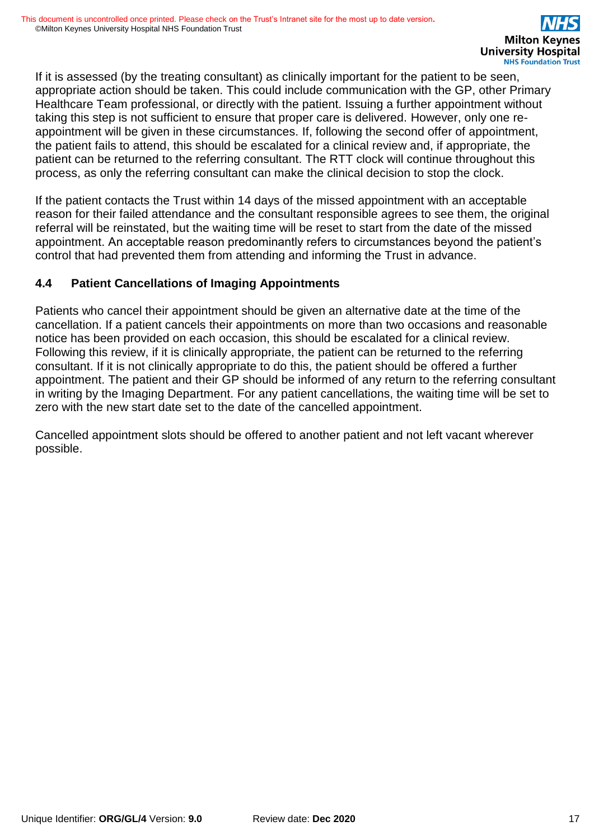If it is assessed (by the treating consultant) as clinically important for the patient to be seen, appropriate action should be taken. This could include communication with the GP, other Primary Healthcare Team professional, or directly with the patient. Issuing a further appointment without taking this step is not sufficient to ensure that proper care is delivered. However, only one reappointment will be given in these circumstances. If, following the second offer of appointment, the patient fails to attend, this should be escalated for a clinical review and, if appropriate, the patient can be returned to the referring consultant. The RTT clock will continue throughout this process, as only the referring consultant can make the clinical decision to stop the clock.

If the patient contacts the Trust within 14 days of the missed appointment with an acceptable reason for their failed attendance and the consultant responsible agrees to see them, the original referral will be reinstated, but the waiting time will be reset to start from the date of the missed appointment. An acceptable reason predominantly refers to circumstances beyond the patient's control that had prevented them from attending and informing the Trust in advance.

### **4.4 Patient Cancellations of Imaging Appointments**

Patients who cancel their appointment should be given an alternative date at the time of the cancellation. If a patient cancels their appointments on more than two occasions and reasonable notice has been provided on each occasion, this should be escalated for a clinical review. Following this review, if it is clinically appropriate, the patient can be returned to the referring consultant. If it is not clinically appropriate to do this, the patient should be offered a further appointment. The patient and their GP should be informed of any return to the referring consultant in writing by the Imaging Department. For any patient cancellations, the waiting time will be set to zero with the new start date set to the date of the cancelled appointment.

Cancelled appointment slots should be offered to another patient and not left vacant wherever possible.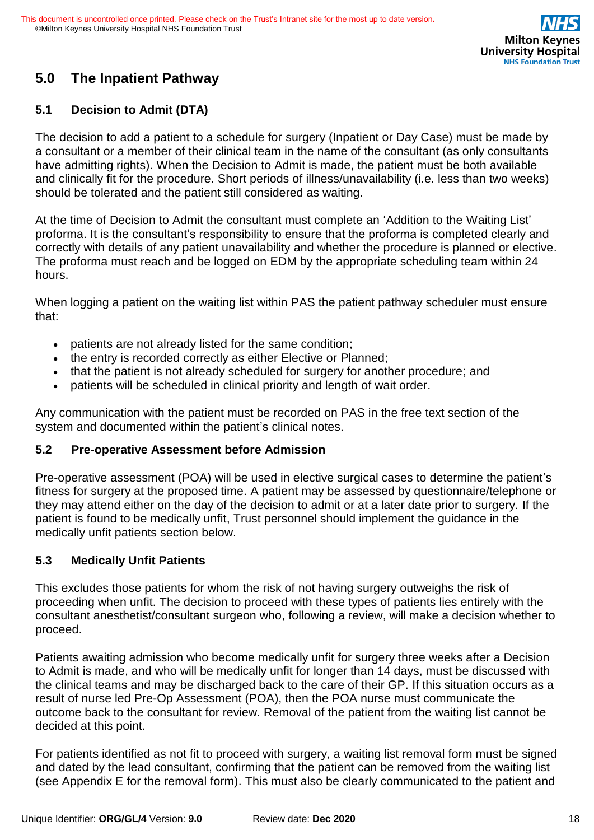

# **5.0 The Inpatient Pathway**

## **5.1 Decision to Admit (DTA)**

The decision to add a patient to a schedule for surgery (Inpatient or Day Case) must be made by a consultant or a member of their clinical team in the name of the consultant (as only consultants have admitting rights). When the Decision to Admit is made, the patient must be both available and clinically fit for the procedure. Short periods of illness/unavailability (i.e. less than two weeks) should be tolerated and the patient still considered as waiting.

At the time of Decision to Admit the consultant must complete an 'Addition to the Waiting List' proforma. It is the consultant's responsibility to ensure that the proforma is completed clearly and correctly with details of any patient unavailability and whether the procedure is planned or elective. The proforma must reach and be logged on EDM by the appropriate scheduling team within 24 hours.

When logging a patient on the waiting list within PAS the patient pathway scheduler must ensure that:

- patients are not already listed for the same condition;
- the entry is recorded correctly as either Elective or Planned;
- that the patient is not already scheduled for surgery for another procedure; and
- patients will be scheduled in clinical priority and length of wait order.

Any communication with the patient must be recorded on PAS in the free text section of the system and documented within the patient's clinical notes.

### **5.2 Pre-operative Assessment before Admission**

Pre-operative assessment (POA) will be used in elective surgical cases to determine the patient's fitness for surgery at the proposed time. A patient may be assessed by questionnaire/telephone or they may attend either on the day of the decision to admit or at a later date prior to surgery. If the patient is found to be medically unfit, Trust personnel should implement the guidance in the medically unfit patients section below.

### **5.3 Medically Unfit Patients**

This excludes those patients for whom the risk of not having surgery outweighs the risk of proceeding when unfit. The decision to proceed with these types of patients lies entirely with the consultant anesthetist/consultant surgeon who, following a review, will make a decision whether to proceed.

Patients awaiting admission who become medically unfit for surgery three weeks after a Decision to Admit is made, and who will be medically unfit for longer than 14 days, must be discussed with the clinical teams and may be discharged back to the care of their GP. If this situation occurs as a result of nurse led Pre-Op Assessment (POA), then the POA nurse must communicate the outcome back to the consultant for review. Removal of the patient from the waiting list cannot be decided at this point.

For patients identified as not fit to proceed with surgery, a waiting list removal form must be signed and dated by the lead consultant, confirming that the patient can be removed from the waiting list (see Appendix E for the removal form). This must also be clearly communicated to the patient and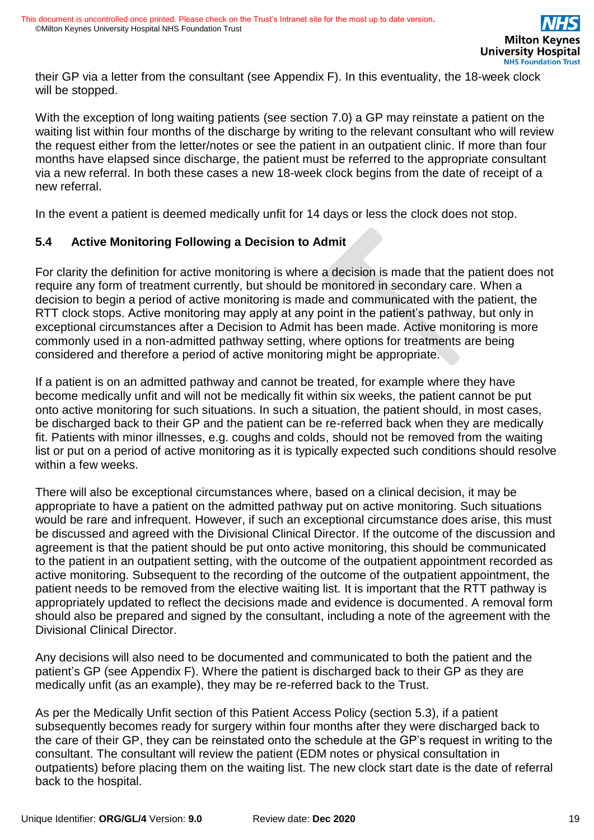their GP via a letter from the consultant (see Appendix F). In this eventuality, the 18-week clock will be stopped.

With the exception of long waiting patients (see section 7.0) a GP may reinstate a patient on the waiting list within four months of the discharge by writing to the relevant consultant who will review the request either from the letter/notes or see the patient in an outpatient clinic. If more than four months have elapsed since discharge, the patient must be referred to the appropriate consultant via a new referral. In both these cases a new 18-week clock begins from the date of receipt of a new referral.

In the event a patient is deemed medically unfit for 14 days or less the clock does not stop.

#### **5.4 Active Monitoring Following a Decision to Admit**

For clarity the definition for active monitoring is where a decision is made that the patient does not require any form of treatment currently, but should be monitored in secondary care. When a decision to begin a period of active monitoring is made and communicated with the patient, the RTT clock stops. Active monitoring may apply at any point in the patient's pathway, but only in exceptional circumstances after a Decision to Admit has been made. Active monitoring is more commonly used in a non-admitted pathway setting, where options for treatments are being considered and therefore a period of active monitoring might be appropriate.

If a patient is on an admitted pathway and cannot be treated, for example where they have become medically unfit and will not be medically fit within six weeks, the patient cannot be put onto active monitoring for such situations. In such a situation, the patient should, in most cases, be discharged back to their GP and the patient can be re-referred back when they are medically fit. Patients with minor illnesses, e.g. coughs and colds, should not be removed from the waiting list or put on a period of active monitoring as it is typically expected such conditions should resolve within a few weeks.

There will also be exceptional circumstances where, based on a clinical decision, it may be appropriate to have a patient on the admitted pathway put on active monitoring. Such situations would be rare and infrequent. However, if such an exceptional circumstance does arise, this must be discussed and agreed with the Divisional Clinical Director. If the outcome of the discussion and agreement is that the patient should be put onto active monitoring, this should be communicated to the patient in an outpatient setting, with the outcome of the outpatient appointment recorded as active monitoring. Subsequent to the recording of the outcome of the outpatient appointment, the patient needs to be removed from the elective waiting list. It is important that the RTT pathway is appropriately updated to reflect the decisions made and evidence is documented. A removal form should also be prepared and signed by the consultant, including a note of the agreement with the Divisional Clinical Director.

Any decisions will also need to be documented and communicated to both the patient and the patient's GP (see Appendix F). Where the patient is discharged back to their GP as they are medically unfit (as an example), they may be re-referred back to the Trust.

As per the Medically Unfit section of this Patient Access Policy (section 5.3), if a patient subsequently becomes ready for surgery within four months after they were discharged back to the care of their GP, they can be reinstated onto the schedule at the GP's request in writing to the consultant. The consultant will review the patient (EDM notes or physical consultation in outpatients) before placing them on the waiting list. The new clock start date is the date of referral back to the hospital.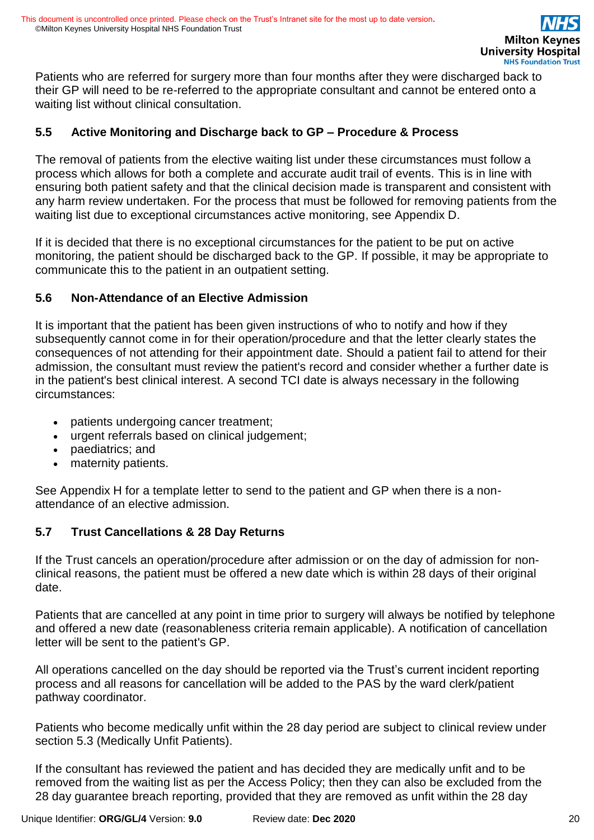Patients who are referred for surgery more than four months after they were discharged back to their GP will need to be re-referred to the appropriate consultant and cannot be entered onto a waiting list without clinical consultation.

#### **5.5 Active Monitoring and Discharge back to GP – Procedure & Process**

The removal of patients from the elective waiting list under these circumstances must follow a process which allows for both a complete and accurate audit trail of events. This is in line with ensuring both patient safety and that the clinical decision made is transparent and consistent with any harm review undertaken. For the process that must be followed for removing patients from the waiting list due to exceptional circumstances active monitoring, see Appendix D.

If it is decided that there is no exceptional circumstances for the patient to be put on active monitoring, the patient should be discharged back to the GP. If possible, it may be appropriate to communicate this to the patient in an outpatient setting.

#### **5.6 Non-Attendance of an Elective Admission**

It is important that the patient has been given instructions of who to notify and how if they subsequently cannot come in for their operation/procedure and that the letter clearly states the consequences of not attending for their appointment date. Should a patient fail to attend for their admission, the consultant must review the patient's record and consider whether a further date is in the patient's best clinical interest. A second TCI date is always necessary in the following circumstances:

- patients undergoing cancer treatment;
- urgent referrals based on clinical judgement;
- paediatrics; and
- maternity patients.

See Appendix H for a template letter to send to the patient and GP when there is a nonattendance of an elective admission.

#### **5.7 Trust Cancellations & 28 Day Returns**

If the Trust cancels an operation/procedure after admission or on the day of admission for nonclinical reasons, the patient must be offered a new date which is within 28 days of their original date.

Patients that are cancelled at any point in time prior to surgery will always be notified by telephone and offered a new date (reasonableness criteria remain applicable). A notification of cancellation letter will be sent to the patient's GP.

All operations cancelled on the day should be reported via the Trust's current incident reporting process and all reasons for cancellation will be added to the PAS by the ward clerk/patient pathway coordinator.

Patients who become medically unfit within the 28 day period are subject to clinical review under section 5.3 (Medically Unfit Patients).

If the consultant has reviewed the patient and has decided they are medically unfit and to be removed from the waiting list as per the Access Policy; then they can also be excluded from the 28 day guarantee breach reporting, provided that they are removed as unfit within the 28 day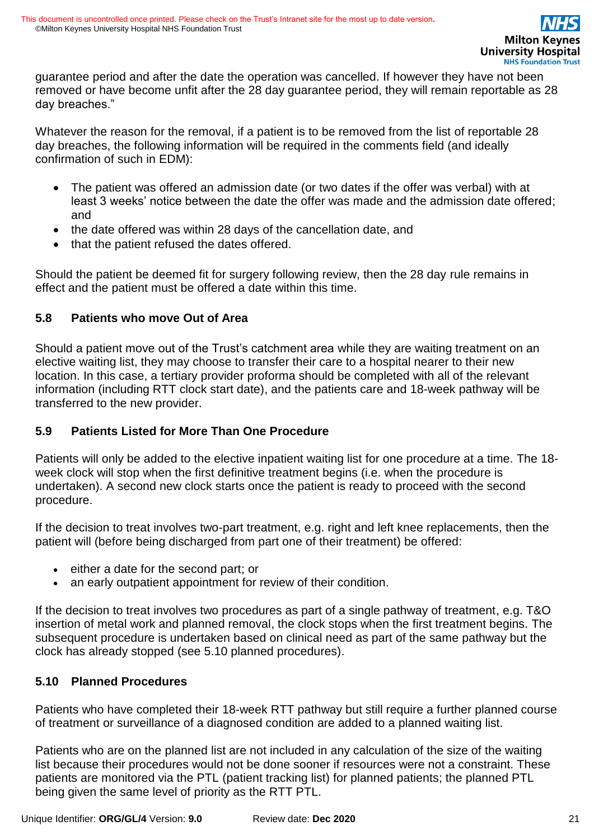guarantee period and after the date the operation was cancelled. If however they have not been removed or have become unfit after the 28 day guarantee period, they will remain reportable as 28 day breaches."

Whatever the reason for the removal, if a patient is to be removed from the list of reportable 28 day breaches, the following information will be required in the comments field (and ideally confirmation of such in EDM):

- The patient was offered an admission date (or two dates if the offer was verbal) with at least 3 weeks' notice between the date the offer was made and the admission date offered; and
- the date offered was within 28 days of the cancellation date, and
- that the patient refused the dates offered.

Should the patient be deemed fit for surgery following review, then the 28 day rule remains in effect and the patient must be offered a date within this time.

### **5.8 Patients who move Out of Area**

Should a patient move out of the Trust's catchment area while they are waiting treatment on an elective waiting list, they may choose to transfer their care to a hospital nearer to their new location. In this case, a tertiary provider proforma should be completed with all of the relevant information (including RTT clock start date), and the patients care and 18-week pathway will be transferred to the new provider.

### **5.9 Patients Listed for More Than One Procedure**

Patients will only be added to the elective inpatient waiting list for one procedure at a time. The 18 week clock will stop when the first definitive treatment begins (i.e. when the procedure is undertaken). A second new clock starts once the patient is ready to proceed with the second procedure.

If the decision to treat involves two-part treatment, e.g. right and left knee replacements, then the patient will (before being discharged from part one of their treatment) be offered:

- either a date for the second part; or
- an early outpatient appointment for review of their condition.

If the decision to treat involves two procedures as part of a single pathway of treatment, e.g. T&O insertion of metal work and planned removal, the clock stops when the first treatment begins. The subsequent procedure is undertaken based on clinical need as part of the same pathway but the clock has already stopped (see 5.10 planned procedures).

#### **5.10 Planned Procedures**

Patients who have completed their 18-week RTT pathway but still require a further planned course of treatment or surveillance of a diagnosed condition are added to a planned waiting list.

Patients who are on the planned list are not included in any calculation of the size of the waiting list because their procedures would not be done sooner if resources were not a constraint. These patients are monitored via the PTL (patient tracking list) for planned patients; the planned PTL being given the same level of priority as the RTT PTL.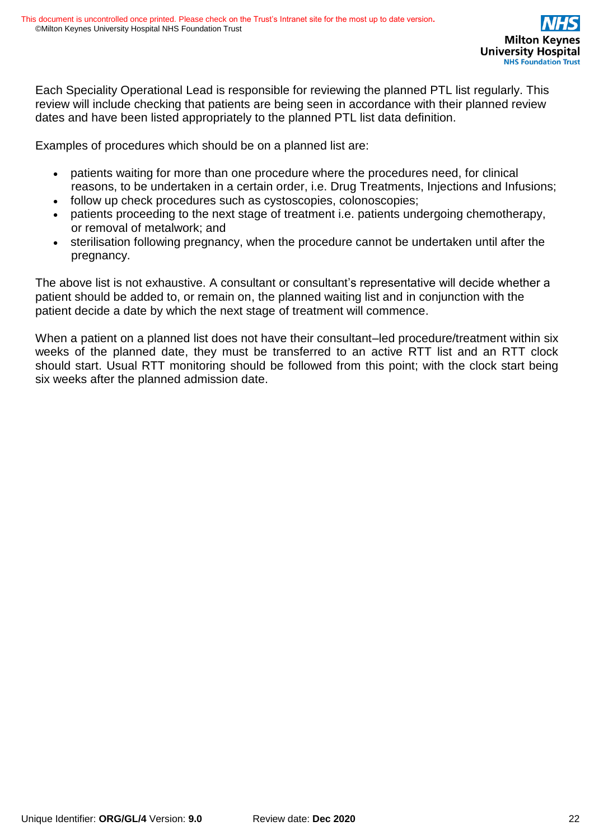Each Speciality Operational Lead is responsible for reviewing the planned PTL list regularly. This review will include checking that patients are being seen in accordance with their planned review dates and have been listed appropriately to the planned PTL list data definition.

Examples of procedures which should be on a planned list are:

- patients waiting for more than one procedure where the procedures need, for clinical reasons, to be undertaken in a certain order, i.e. Drug Treatments, Injections and Infusions;
- follow up check procedures such as cystoscopies, colonoscopies;
- patients proceeding to the next stage of treatment i.e. patients undergoing chemotherapy, or removal of metalwork; and
- sterilisation following pregnancy, when the procedure cannot be undertaken until after the pregnancy.

The above list is not exhaustive. A consultant or consultant's representative will decide whether a patient should be added to, or remain on, the planned waiting list and in conjunction with the patient decide a date by which the next stage of treatment will commence.

When a patient on a planned list does not have their consultant–led procedure/treatment within six weeks of the planned date, they must be transferred to an active RTT list and an RTT clock should start. Usual RTT monitoring should be followed from this point; with the clock start being six weeks after the planned admission date.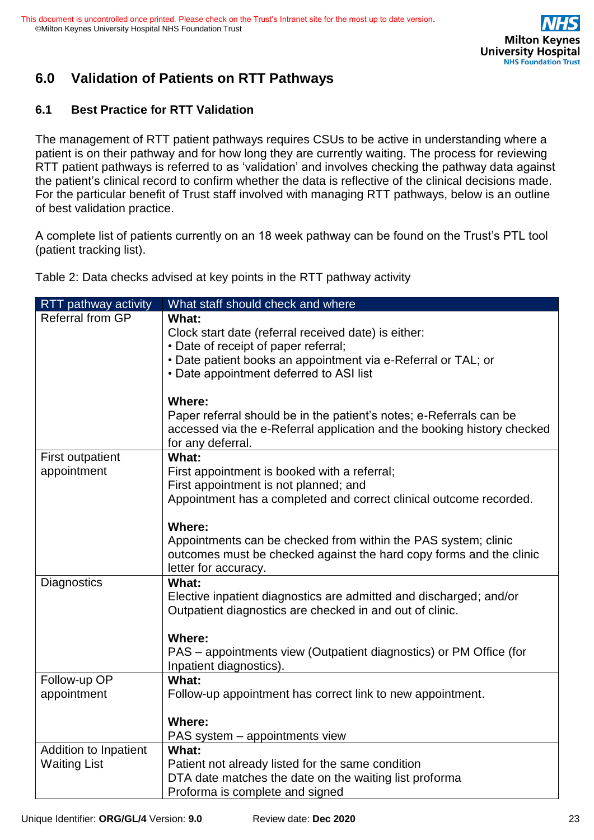# **6.0 Validation of Patients on RTT Pathways**

## **6.1 Best Practice for RTT Validation**

The management of RTT patient pathways requires CSUs to be active in understanding where a patient is on their pathway and for how long they are currently waiting. The process for reviewing RTT patient pathways is referred to as 'validation' and involves checking the pathway data against the patient's clinical record to confirm whether the data is reflective of the clinical decisions made. For the particular benefit of Trust staff involved with managing RTT pathways, below is an outline of best validation practice.

A complete list of patients currently on an 18 week pathway can be found on the Trust's PTL tool (patient tracking list).

Table 2: Data checks advised at key points in the RTT pathway activity

| RTT pathway activity         | What staff should check and where                                                                                                     |
|------------------------------|---------------------------------------------------------------------------------------------------------------------------------------|
| <b>Referral from GP</b>      | What:                                                                                                                                 |
|                              | Clock start date (referral received date) is either:                                                                                  |
|                              | • Date of receipt of paper referral;                                                                                                  |
|                              | • Date patient books an appointment via e-Referral or TAL; or                                                                         |
|                              | • Date appointment deferred to ASI list                                                                                               |
|                              |                                                                                                                                       |
|                              | <b>Where:</b>                                                                                                                         |
|                              | Paper referral should be in the patient's notes; e-Referrals can be                                                                   |
|                              | accessed via the e-Referral application and the booking history checked                                                               |
|                              | for any deferral.                                                                                                                     |
| <b>First outpatient</b>      | What:                                                                                                                                 |
| appointment                  | First appointment is booked with a referral;                                                                                          |
|                              | First appointment is not planned; and                                                                                                 |
|                              | Appointment has a completed and correct clinical outcome recorded.                                                                    |
|                              | <b>Where:</b>                                                                                                                         |
|                              |                                                                                                                                       |
|                              | Appointments can be checked from within the PAS system; clinic<br>outcomes must be checked against the hard copy forms and the clinic |
|                              | letter for accuracy.                                                                                                                  |
| Diagnostics                  | What:                                                                                                                                 |
|                              | Elective inpatient diagnostics are admitted and discharged; and/or                                                                    |
|                              | Outpatient diagnostics are checked in and out of clinic.                                                                              |
|                              |                                                                                                                                       |
|                              | <b>Where:</b>                                                                                                                         |
|                              | PAS – appointments view (Outpatient diagnostics) or PM Office (for                                                                    |
|                              | Inpatient diagnostics).                                                                                                               |
| Follow-up OP                 | What:                                                                                                                                 |
| appointment                  | Follow-up appointment has correct link to new appointment.                                                                            |
|                              |                                                                                                                                       |
|                              | <b>Where:</b>                                                                                                                         |
|                              | PAS system - appointments view                                                                                                        |
| <b>Addition to Inpatient</b> | What:                                                                                                                                 |
| <b>Waiting List</b>          | Patient not already listed for the same condition                                                                                     |
|                              | DTA date matches the date on the waiting list proforma                                                                                |
|                              | Proforma is complete and signed                                                                                                       |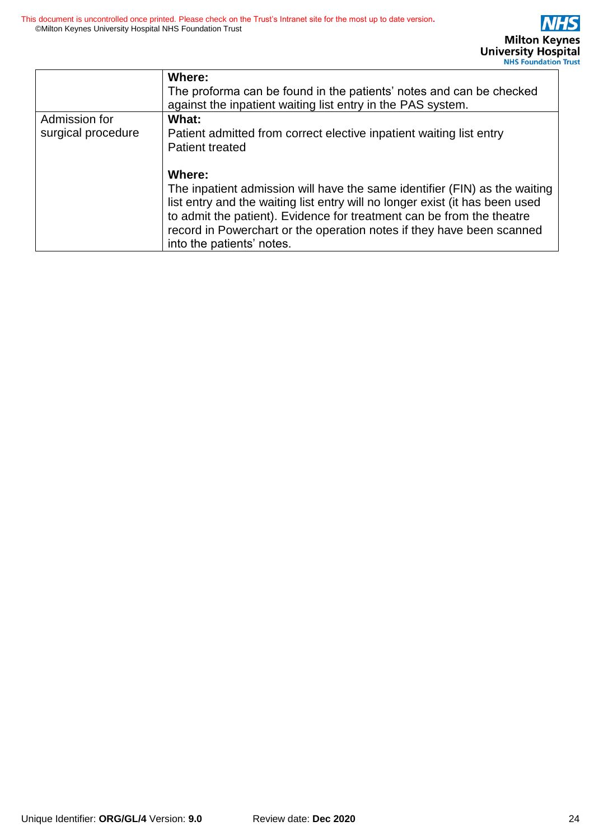|                    | Where:<br>The proforma can be found in the patients' notes and can be checked<br>against the inpatient waiting list entry in the PAS system.                                                                                                                                                                                                        |
|--------------------|-----------------------------------------------------------------------------------------------------------------------------------------------------------------------------------------------------------------------------------------------------------------------------------------------------------------------------------------------------|
| Admission for      | What:                                                                                                                                                                                                                                                                                                                                               |
| surgical procedure | Patient admitted from correct elective inpatient waiting list entry<br><b>Patient treated</b>                                                                                                                                                                                                                                                       |
|                    | Where:<br>The inpatient admission will have the same identifier (FIN) as the waiting<br>list entry and the waiting list entry will no longer exist (it has been used<br>to admit the patient). Evidence for treatment can be from the theatre<br>record in Powerchart or the operation notes if they have been scanned<br>into the patients' notes. |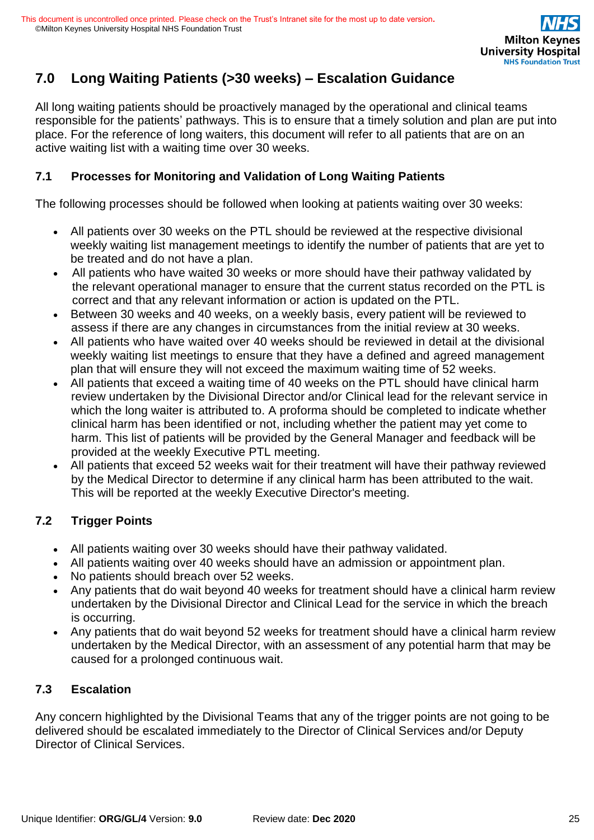

# **7.0 Long Waiting Patients (>30 weeks) – Escalation Guidance**

All long waiting patients should be proactively managed by the operational and clinical teams responsible for the patients' pathways. This is to ensure that a timely solution and plan are put into place. For the reference of long waiters, this document will refer to all patients that are on an active waiting list with a waiting time over 30 weeks.

### **7.1 Processes for Monitoring and Validation of Long Waiting Patients**

The following processes should be followed when looking at patients waiting over 30 weeks:

- All patients over 30 weeks on the PTL should be reviewed at the respective divisional weekly waiting list management meetings to identify the number of patients that are yet to be treated and do not have a plan.
- All patients who have waited 30 weeks or more should have their pathway validated by the relevant operational manager to ensure that the current status recorded on the PTL is correct and that any relevant information or action is updated on the PTL.
- Between 30 weeks and 40 weeks, on a weekly basis, every patient will be reviewed to assess if there are any changes in circumstances from the initial review at 30 weeks.
- All patients who have waited over 40 weeks should be reviewed in detail at the divisional weekly waiting list meetings to ensure that they have a defined and agreed management plan that will ensure they will not exceed the maximum waiting time of 52 weeks.
- All patients that exceed a waiting time of 40 weeks on the PTL should have clinical harm review undertaken by the Divisional Director and/or Clinical lead for the relevant service in which the long waiter is attributed to. A proforma should be completed to indicate whether clinical harm has been identified or not, including whether the patient may yet come to harm. This list of patients will be provided by the General Manager and feedback will be provided at the weekly Executive PTL meeting.
- All patients that exceed 52 weeks wait for their treatment will have their pathway reviewed by the Medical Director to determine if any clinical harm has been attributed to the wait. This will be reported at the weekly Executive Director's meeting.

### **7.2 Trigger Points**

- All patients waiting over 30 weeks should have their pathway validated.
- All patients waiting over 40 weeks should have an admission or appointment plan.
- No patients should breach over 52 weeks.
- Any patients that do wait beyond 40 weeks for treatment should have a clinical harm review undertaken by the Divisional Director and Clinical Lead for the service in which the breach is occurring.
- Any patients that do wait beyond 52 weeks for treatment should have a clinical harm review undertaken by the Medical Director, with an assessment of any potential harm that may be caused for a prolonged continuous wait.

### **7.3 Escalation**

Any concern highlighted by the Divisional Teams that any of the trigger points are not going to be delivered should be escalated immediately to the Director of Clinical Services and/or Deputy Director of Clinical Services.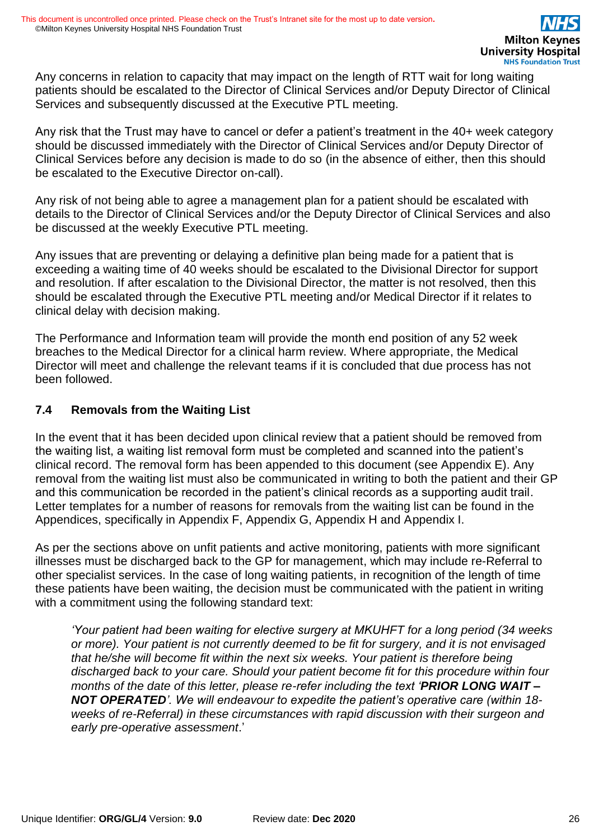Any concerns in relation to capacity that may impact on the length of RTT wait for long waiting patients should be escalated to the Director of Clinical Services and/or Deputy Director of Clinical Services and subsequently discussed at the Executive PTL meeting.

Any risk that the Trust may have to cancel or defer a patient's treatment in the 40+ week category should be discussed immediately with the Director of Clinical Services and/or Deputy Director of Clinical Services before any decision is made to do so (in the absence of either, then this should be escalated to the Executive Director on-call).

Any risk of not being able to agree a management plan for a patient should be escalated with details to the Director of Clinical Services and/or the Deputy Director of Clinical Services and also be discussed at the weekly Executive PTL meeting.

Any issues that are preventing or delaying a definitive plan being made for a patient that is exceeding a waiting time of 40 weeks should be escalated to the Divisional Director for support and resolution. If after escalation to the Divisional Director, the matter is not resolved, then this should be escalated through the Executive PTL meeting and/or Medical Director if it relates to clinical delay with decision making.

The Performance and Information team will provide the month end position of any 52 week breaches to the Medical Director for a clinical harm review. Where appropriate, the Medical Director will meet and challenge the relevant teams if it is concluded that due process has not been followed.

### **7.4 Removals from the Waiting List**

In the event that it has been decided upon clinical review that a patient should be removed from the waiting list, a waiting list removal form must be completed and scanned into the patient's clinical record. The removal form has been appended to this document (see Appendix E). Any removal from the waiting list must also be communicated in writing to both the patient and their GP and this communication be recorded in the patient's clinical records as a supporting audit trail. Letter templates for a number of reasons for removals from the waiting list can be found in the Appendices, specifically in Appendix F, Appendix G, Appendix H and Appendix I.

As per the sections above on unfit patients and active monitoring, patients with more significant illnesses must be discharged back to the GP for management, which may include re-Referral to other specialist services. In the case of long waiting patients, in recognition of the length of time these patients have been waiting, the decision must be communicated with the patient in writing with a commitment using the following standard text:

*'Your patient had been waiting for elective surgery at MKUHFT for a long period (34 weeks or more). Your patient is not currently deemed to be fit for surgery, and it is not envisaged that he/she will become fit within the next six weeks. Your patient is therefore being discharged back to your care. Should your patient become fit for this procedure within four months of the date of this letter, please re-refer including the text 'PRIOR LONG WAIT – NOT OPERATED'. We will endeavour to expedite the patient's operative care (within 18 weeks of re-Referral) in these circumstances with rapid discussion with their surgeon and early pre-operative assessment*.'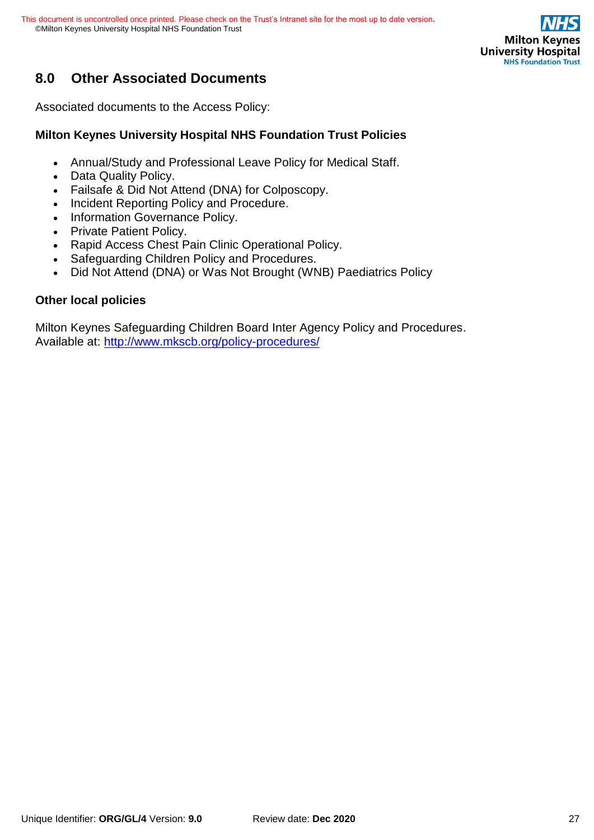

# **8.0 Other Associated Documents**

Associated documents to the Access Policy:

### **Milton Keynes University Hospital NHS Foundation Trust Policies**

- Annual/Study and Professional Leave Policy for Medical Staff.
- Data Quality Policy.
- Failsafe & Did Not Attend (DNA) for Colposcopy.
- Incident Reporting Policy and Procedure.
- Information Governance Policy.
- Private Patient Policy.
- Rapid Access Chest Pain Clinic Operational Policy.
- Safeguarding Children Policy and Procedures.
- Did Not Attend (DNA) or Was Not Brought (WNB) Paediatrics Policy

#### **Other local policies**

Milton Keynes Safeguarding Children Board Inter Agency Policy and Procedures. Available at:<http://www.mkscb.org/policy-procedures/>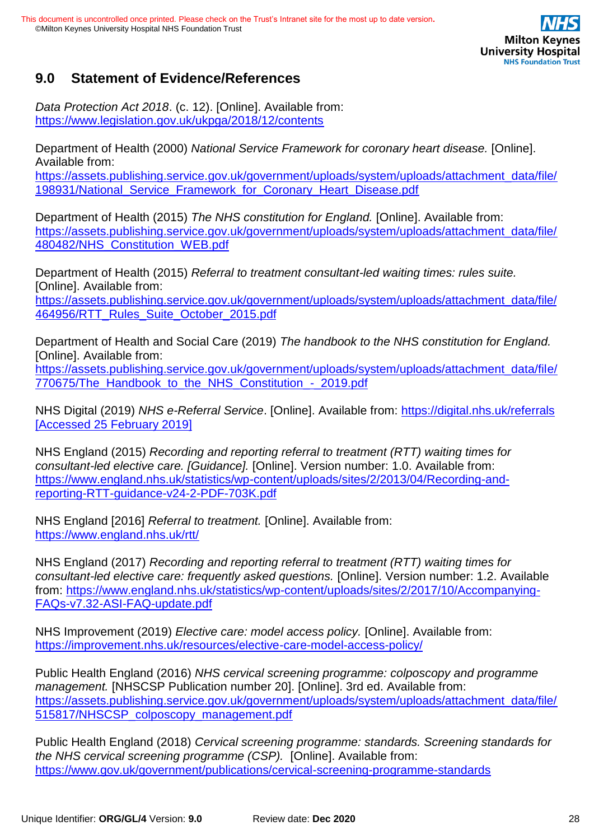

## **9.0 Statement of Evidence/References**

*Data Protection Act 2018*. (c. 12). [Online]. Available from: <https://www.legislation.gov.uk/ukpga/2018/12/contents>

Department of Health (2000) *National Service Framework for coronary heart disease.* [Online]. Available from:

[https://assets.publishing.service.gov.uk/government/uploads/system/uploads/attachment\\_data/file/](https://assets.publishing.service.gov.uk/government/uploads/system/uploads/attachment_data/file/198931/National_Service_Framework_for_Coronary_Heart_Disease.pdf) 198931/National Service Framework for Coronary Heart Disease.pdf

Department of Health (2015) *The NHS constitution for England.* [Online]. Available from: [https://assets.publishing.service.gov.uk/government/uploads/system/uploads/attachment\\_data/file/](https://assets.publishing.service.gov.uk/government/uploads/system/uploads/attachment_data/file/480482/NHS_Constitution_WEB.pdf) [480482/NHS\\_Constitution\\_WEB.pdf](https://assets.publishing.service.gov.uk/government/uploads/system/uploads/attachment_data/file/480482/NHS_Constitution_WEB.pdf)

Department of Health (2015) *Referral to treatment consultant-led waiting times: rules suite.*  [Online]. Available from: [https://assets.publishing.service.gov.uk/government/uploads/system/uploads/attachment\\_data/file/](https://assets.publishing.service.gov.uk/government/uploads/system/uploads/attachment_data/file/464956/RTT_Rules_Suite_October_2015.pdf) [464956/RTT\\_Rules\\_Suite\\_October\\_2015.pdf](https://assets.publishing.service.gov.uk/government/uploads/system/uploads/attachment_data/file/464956/RTT_Rules_Suite_October_2015.pdf)

Department of Health and Social Care (2019) *The handbook to the NHS constitution for England.* [Online]. Available from:

[https://assets.publishing.service.gov.uk/government/uploads/system/uploads/attachment\\_data/file/](https://assets.publishing.service.gov.uk/government/uploads/system/uploads/attachment_data/file/770675/The_Handbook_to_the_NHS_Constitution_-_2019.pdf) 770675/The Handbook to the NHS Constitution - 2019.pdf

NHS Digital (2019) *NHS e-Referral Service*. [Online]. Available from:<https://digital.nhs.uk/referrals> [Accessed 25 February 2019]

NHS England (2015) *Recording and reporting referral to treatment (RTT) waiting times for consultant-led elective care. [Guidance].* [Online]. Version number: 1.0. Available from: [https://www.england.nhs.uk/statistics/wp-content/uploads/sites/2/2013/04/Recording-and](https://www.england.nhs.uk/statistics/wp-content/uploads/sites/2/2013/04/Recording-and-reporting-RTT-guidance-v24-2-PDF-703K.pdf)[reporting-RTT-guidance-v24-2-PDF-703K.pdf](https://www.england.nhs.uk/statistics/wp-content/uploads/sites/2/2013/04/Recording-and-reporting-RTT-guidance-v24-2-PDF-703K.pdf)

NHS England [2016] *Referral to treatment.* [Online]. Available from: <https://www.england.nhs.uk/rtt/>

NHS England (2017) *Recording and reporting referral to treatment (RTT) waiting times for consultant-led elective care: frequently asked questions.* [Online]. Version number: 1.2. Available from: [https://www.england.nhs.uk/statistics/wp-content/uploads/sites/2/2017/10/Accompanying-](https://www.england.nhs.uk/statistics/wp-content/uploads/sites/2/2017/10/Accompanying-FAQs-v7.32-ASI-FAQ-update.pdf)[FAQs-v7.32-ASI-FAQ-update.pdf](https://www.england.nhs.uk/statistics/wp-content/uploads/sites/2/2017/10/Accompanying-FAQs-v7.32-ASI-FAQ-update.pdf)

NHS Improvement (2019) *Elective care: model access policy.* [Online]. Available from: <https://improvement.nhs.uk/resources/elective-care-model-access-policy/>

Public Health England (2016) *NHS cervical screening programme: colposcopy and programme management.* [NHSCSP Publication number 20]. [Online]. 3rd ed. Available from: [https://assets.publishing.service.gov.uk/government/uploads/system/uploads/attachment\\_data/file/](https://assets.publishing.service.gov.uk/government/uploads/system/uploads/attachment_data/file/515817/NHSCSP_colposcopy_management.pdf) [515817/NHSCSP\\_colposcopy\\_management.pdf](https://assets.publishing.service.gov.uk/government/uploads/system/uploads/attachment_data/file/515817/NHSCSP_colposcopy_management.pdf)

Public Health England (2018) *Cervical screening programme: standards. Screening standards for the NHS cervical screening programme (CSP).* [Online]. Available from: <https://www.gov.uk/government/publications/cervical-screening-programme-standards>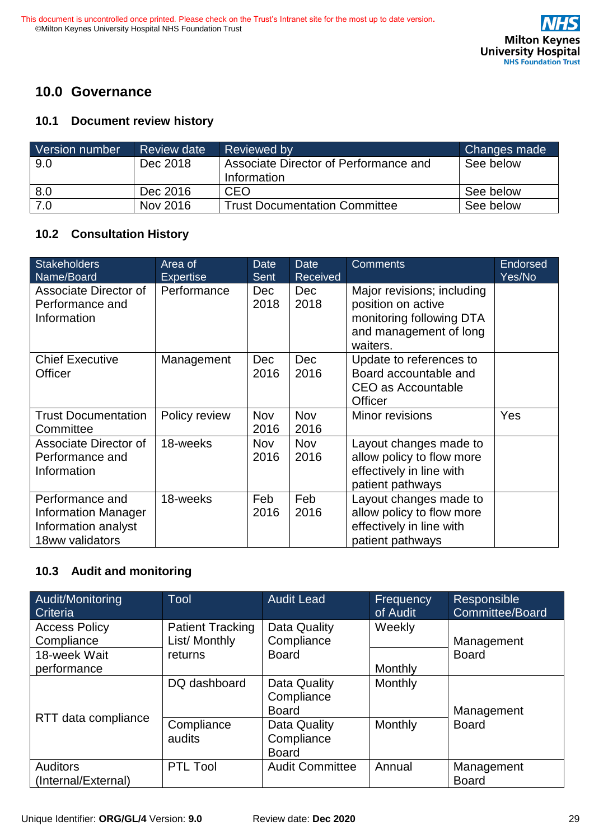

## **10.0 Governance**

#### **10.1 Document review history**

| Version number | <b>Review date</b> | Reviewed by                                          | <b>Changes made</b> |
|----------------|--------------------|------------------------------------------------------|---------------------|
| 9.0            | Dec 2018           | Associate Director of Performance and<br>Information | See below           |
| 8.0            | Dec 2016           | CEO                                                  | See below           |
| 7.0            | Nov 2016           | <b>Trust Documentation Committee</b>                 | See below           |

### **10.2 Consultation History**

| <b>Stakeholders</b><br>Name/Board                                                       | Area of<br><b>Expertise</b> | <b>Date</b><br><b>Sent</b> | <b>Date</b><br><b>Received</b> | <b>Comments</b>                                                                                                    | Endorsed<br>Yes/No |
|-----------------------------------------------------------------------------------------|-----------------------------|----------------------------|--------------------------------|--------------------------------------------------------------------------------------------------------------------|--------------------|
| Associate Director of<br>Performance and<br>Information                                 | Performance                 | <b>Dec</b><br>2018         | <b>Dec</b><br>2018             | Major revisions; including<br>position on active<br>monitoring following DTA<br>and management of long<br>waiters. |                    |
| <b>Chief Executive</b><br><b>Officer</b>                                                | Management                  | Dec<br>2016                | <b>Dec</b><br>2016             | Update to references to<br>Board accountable and<br>CEO as Accountable<br><b>Officer</b>                           |                    |
| <b>Trust Documentation</b><br>Committee                                                 | Policy review               | <b>Nov</b><br>2016         | <b>Nov</b><br>2016             | Minor revisions                                                                                                    | Yes                |
| Associate Director of<br>Performance and<br>Information                                 | 18-weeks                    | <b>Nov</b><br>2016         | <b>Nov</b><br>2016             | Layout changes made to<br>allow policy to flow more<br>effectively in line with<br>patient pathways                |                    |
| Performance and<br><b>Information Manager</b><br>Information analyst<br>18ww validators | 18-weeks                    | Feb<br>2016                | Feb<br>2016                    | Layout changes made to<br>allow policy to flow more<br>effectively in line with<br>patient pathways                |                    |

## **10.3 Audit and monitoring**

| Audit/Monitoring<br>Criteria           | <b>Tool</b>                              | <b>Audit Lead</b>                          | Frequency<br>of Audit | Responsible<br>Committee/Board |
|----------------------------------------|------------------------------------------|--------------------------------------------|-----------------------|--------------------------------|
| <b>Access Policy</b><br>Compliance     | <b>Patient Tracking</b><br>List/ Monthly | Data Quality<br>Compliance                 | Weekly                | Management                     |
| 18-week Wait                           | returns                                  | <b>Board</b>                               |                       | <b>Board</b>                   |
| performance                            |                                          |                                            | Monthly               |                                |
|                                        | DQ dashboard                             | Data Quality<br>Compliance<br><b>Board</b> | Monthly               | Management                     |
| RTT data compliance                    | Compliance<br>audits                     | Data Quality<br>Compliance<br><b>Board</b> | Monthly               | <b>Board</b>                   |
| <b>Auditors</b><br>(Internal/External) | <b>PTL Tool</b>                          | <b>Audit Committee</b>                     | Annual                | Management<br><b>Board</b>     |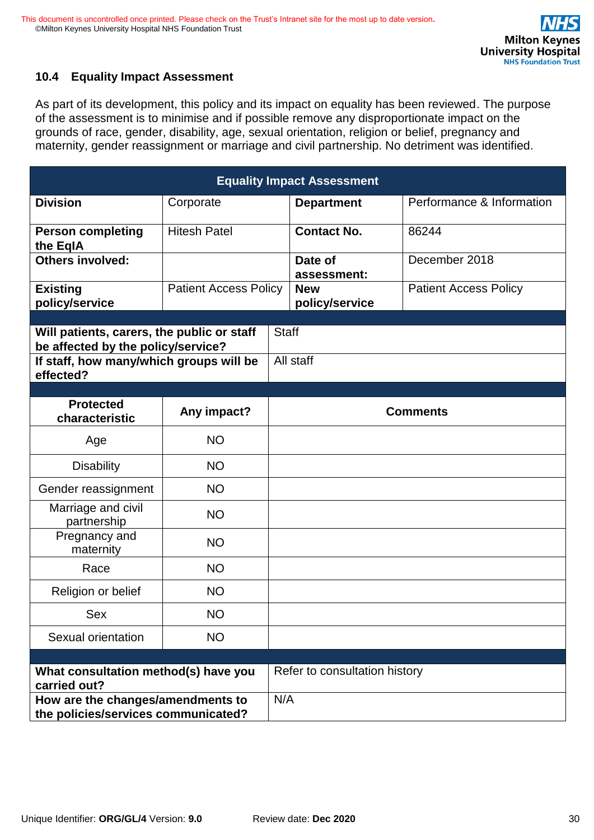

## **10.4 Equality Impact Assessment**

As part of its development, this policy and its impact on equality has been reviewed. The purpose of the assessment is to minimise and if possible remove any disproportionate impact on the grounds of race, gender, disability, age, sexual orientation, religion or belief, pregnancy and maternity, gender reassignment or marriage and civil partnership. No detriment was identified.

| <b>Equality Impact Assessment</b>                                                                                                        |                              |  |                               |                              |  |
|------------------------------------------------------------------------------------------------------------------------------------------|------------------------------|--|-------------------------------|------------------------------|--|
| <b>Division</b>                                                                                                                          | Corporate                    |  | <b>Department</b>             | Performance & Information    |  |
| <b>Person completing</b><br>the EqIA                                                                                                     | <b>Hitesh Patel</b>          |  | <b>Contact No.</b>            | 86244                        |  |
| <b>Others involved:</b>                                                                                                                  |                              |  | Date of<br>assessment:        | December 2018                |  |
| <b>Existing</b><br>policy/service                                                                                                        | <b>Patient Access Policy</b> |  | <b>New</b><br>policy/service  | <b>Patient Access Policy</b> |  |
| Will patients, carers, the public or staff<br>be affected by the policy/service?<br>If staff, how many/which groups will be<br>effected? |                              |  | <b>Staff</b><br>All staff     |                              |  |
| <b>Protected</b><br>characteristic                                                                                                       | Any impact?                  |  |                               | <b>Comments</b>              |  |
| Age                                                                                                                                      | <b>NO</b>                    |  |                               |                              |  |
| <b>Disability</b>                                                                                                                        | <b>NO</b>                    |  |                               |                              |  |
| Gender reassignment                                                                                                                      | <b>NO</b>                    |  |                               |                              |  |
| Marriage and civil<br>partnership                                                                                                        | <b>NO</b>                    |  |                               |                              |  |
| Pregnancy and<br>maternity                                                                                                               | <b>NO</b>                    |  |                               |                              |  |
| Race                                                                                                                                     | <b>NO</b>                    |  |                               |                              |  |
| Religion or belief                                                                                                                       | <b>NO</b>                    |  |                               |                              |  |
| Sex                                                                                                                                      | <b>NO</b>                    |  |                               |                              |  |
| Sexual orientation                                                                                                                       | <b>NO</b>                    |  |                               |                              |  |
| What consultation method(s) have you<br>carried out?                                                                                     |                              |  | Refer to consultation history |                              |  |
| N/A<br>How are the changes/amendments to<br>the policies/services communicated?                                                          |                              |  |                               |                              |  |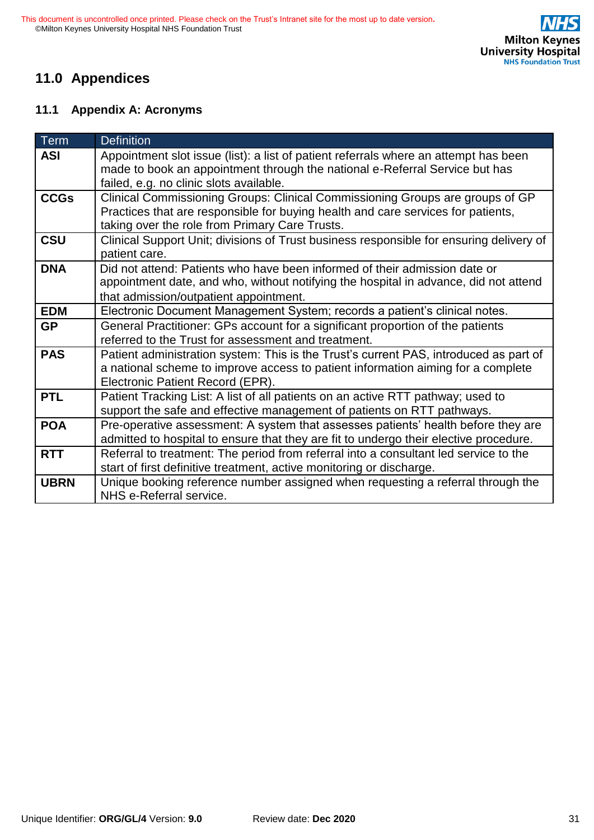# **11.0 Appendices**

### **11.1 Appendix A: Acronyms**

| <b>Term</b> | <b>Definition</b>                                                                                                                                                                                                   |
|-------------|---------------------------------------------------------------------------------------------------------------------------------------------------------------------------------------------------------------------|
| <b>ASI</b>  | Appointment slot issue (list): a list of patient referrals where an attempt has been<br>made to book an appointment through the national e-Referral Service but has<br>failed, e.g. no clinic slots available.      |
| <b>CCGs</b> | Clinical Commissioning Groups: Clinical Commissioning Groups are groups of GP<br>Practices that are responsible for buying health and care services for patients,<br>taking over the role from Primary Care Trusts. |
| <b>CSU</b>  | Clinical Support Unit; divisions of Trust business responsible for ensuring delivery of<br>patient care.                                                                                                            |
| <b>DNA</b>  | Did not attend: Patients who have been informed of their admission date or<br>appointment date, and who, without notifying the hospital in advance, did not attend<br>that admission/outpatient appointment.        |
| <b>EDM</b>  | Electronic Document Management System; records a patient's clinical notes.                                                                                                                                          |
| <b>GP</b>   | General Practitioner: GPs account for a significant proportion of the patients<br>referred to the Trust for assessment and treatment.                                                                               |
| <b>PAS</b>  | Patient administration system: This is the Trust's current PAS, introduced as part of<br>a national scheme to improve access to patient information aiming for a complete<br>Electronic Patient Record (EPR).       |
| <b>PTL</b>  | Patient Tracking List: A list of all patients on an active RTT pathway; used to<br>support the safe and effective management of patients on RTT pathways.                                                           |
| <b>POA</b>  | Pre-operative assessment: A system that assesses patients' health before they are<br>admitted to hospital to ensure that they are fit to undergo their elective procedure.                                          |
| <b>RTT</b>  | Referral to treatment: The period from referral into a consultant led service to the<br>start of first definitive treatment, active monitoring or discharge.                                                        |
| <b>UBRN</b> | Unique booking reference number assigned when requesting a referral through the<br>NHS e-Referral service.                                                                                                          |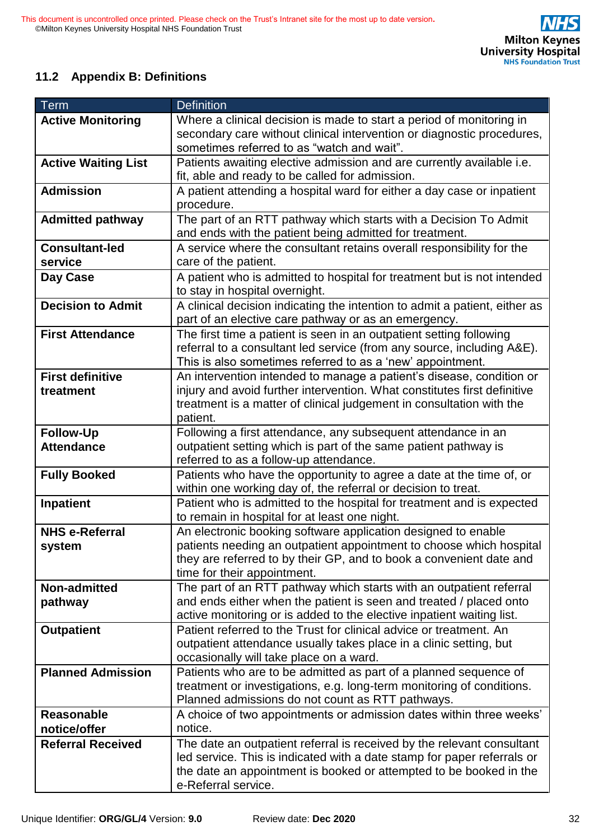## **11.2 Appendix B: Definitions**

| <b>Term</b>                | <b>Definition</b>                                                          |
|----------------------------|----------------------------------------------------------------------------|
| <b>Active Monitoring</b>   | Where a clinical decision is made to start a period of monitoring in       |
|                            | secondary care without clinical intervention or diagnostic procedures,     |
|                            | sometimes referred to as "watch and wait".                                 |
| <b>Active Waiting List</b> | Patients awaiting elective admission and are currently available i.e.      |
|                            | fit, able and ready to be called for admission.                            |
| <b>Admission</b>           | A patient attending a hospital ward for either a day case or inpatient     |
|                            | procedure.                                                                 |
| <b>Admitted pathway</b>    | The part of an RTT pathway which starts with a Decision To Admit           |
|                            | and ends with the patient being admitted for treatment.                    |
| <b>Consultant-led</b>      | A service where the consultant retains overall responsibility for the      |
| service                    | care of the patient.                                                       |
| Day Case                   | A patient who is admitted to hospital for treatment but is not intended    |
|                            | to stay in hospital overnight.                                             |
| <b>Decision to Admit</b>   | A clinical decision indicating the intention to admit a patient, either as |
|                            | part of an elective care pathway or as an emergency.                       |
| <b>First Attendance</b>    | The first time a patient is seen in an outpatient setting following        |
|                            | referral to a consultant led service (from any source, including A&E).     |
|                            | This is also sometimes referred to as a 'new' appointment.                 |
| <b>First definitive</b>    | An intervention intended to manage a patient's disease, condition or       |
| treatment                  | injury and avoid further intervention. What constitutes first definitive   |
|                            | treatment is a matter of clinical judgement in consultation with the       |
|                            | patient.                                                                   |
| <b>Follow-Up</b>           | Following a first attendance, any subsequent attendance in an              |
| <b>Attendance</b>          | outpatient setting which is part of the same patient pathway is            |
|                            | referred to as a follow-up attendance.                                     |
| <b>Fully Booked</b>        | Patients who have the opportunity to agree a date at the time of, or       |
|                            | within one working day of, the referral or decision to treat.              |
| <b>Inpatient</b>           | Patient who is admitted to the hospital for treatment and is expected      |
|                            | to remain in hospital for at least one night.                              |
| <b>NHS e-Referral</b>      | An electronic booking software application designed to enable              |
| system                     | patients needing an outpatient appointment to choose which hospital        |
|                            | they are referred to by their GP, and to book a convenient date and        |
|                            | time for their appointment.                                                |
| Non-admitted               | The part of an RTT pathway which starts with an outpatient referral        |
| pathway                    | and ends either when the patient is seen and treated / placed onto         |
|                            | active monitoring or is added to the elective inpatient waiting list.      |
| <b>Outpatient</b>          | Patient referred to the Trust for clinical advice or treatment. An         |
|                            | outpatient attendance usually takes place in a clinic setting, but         |
|                            | occasionally will take place on a ward.                                    |
| <b>Planned Admission</b>   | Patients who are to be admitted as part of a planned sequence of           |
|                            | treatment or investigations, e.g. long-term monitoring of conditions.      |
|                            | Planned admissions do not count as RTT pathways.                           |
| <b>Reasonable</b>          | A choice of two appointments or admission dates within three weeks'        |
| notice/offer               | notice.                                                                    |
| <b>Referral Received</b>   | The date an outpatient referral is received by the relevant consultant     |
|                            | led service. This is indicated with a date stamp for paper referrals or    |
|                            | the date an appointment is booked or attempted to be booked in the         |
|                            | e-Referral service.                                                        |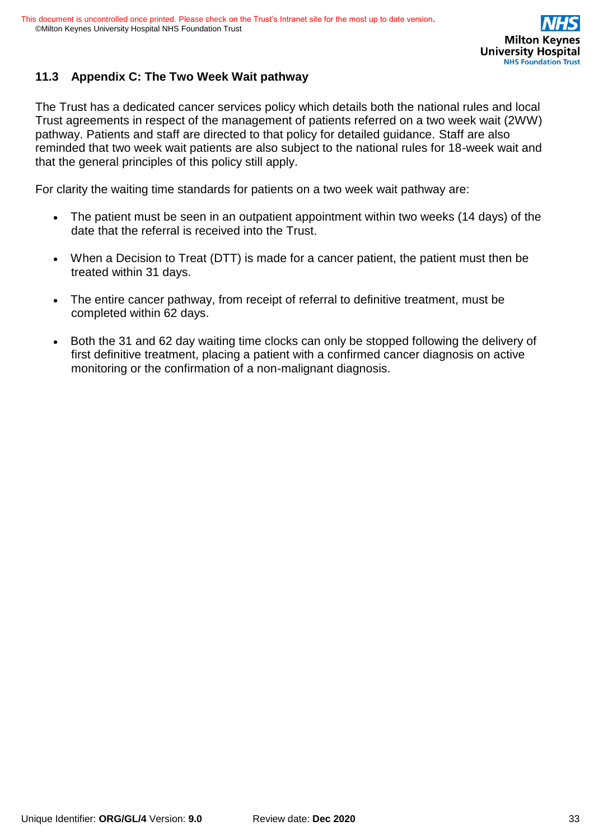

### **11.3 Appendix C: The Two Week Wait pathway**

The Trust has a dedicated cancer services policy which details both the national rules and local Trust agreements in respect of the management of patients referred on a two week wait (2WW) pathway. Patients and staff are directed to that policy for detailed guidance. Staff are also reminded that two week wait patients are also subject to the national rules for 18-week wait and that the general principles of this policy still apply.

For clarity the waiting time standards for patients on a two week wait pathway are:

- The patient must be seen in an outpatient appointment within two weeks (14 days) of the date that the referral is received into the Trust.
- When a Decision to Treat (DTT) is made for a cancer patient, the patient must then be treated within 31 days.
- The entire cancer pathway, from receipt of referral to definitive treatment, must be completed within 62 days.
- Both the 31 and 62 day waiting time clocks can only be stopped following the delivery of first definitive treatment, placing a patient with a confirmed cancer diagnosis on active monitoring or the confirmation of a non-malignant diagnosis.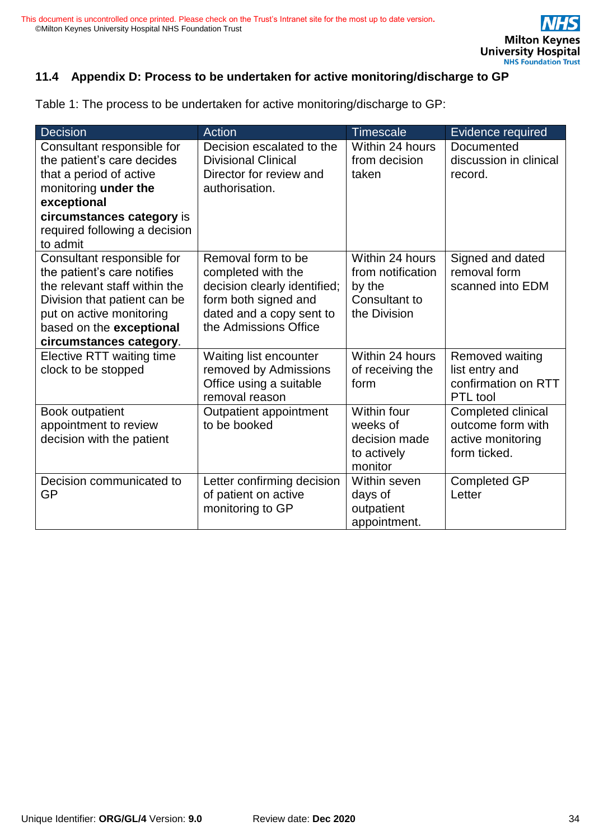

### **11.4 Appendix D: Process to be undertaken for active monitoring/discharge to GP**

Table 1: The process to be undertaken for active monitoring/discharge to GP:

| Decision                      | Action                       | <b>Timescale</b>  | Evidence required      |
|-------------------------------|------------------------------|-------------------|------------------------|
| Consultant responsible for    | Decision escalated to the    | Within 24 hours   | Documented             |
| the patient's care decides    | <b>Divisional Clinical</b>   | from decision     | discussion in clinical |
| that a period of active       | Director for review and      | taken             | record.                |
| monitoring under the          | authorisation.               |                   |                        |
| exceptional                   |                              |                   |                        |
| circumstances category is     |                              |                   |                        |
| required following a decision |                              |                   |                        |
| to admit                      |                              |                   |                        |
| Consultant responsible for    | Removal form to be           | Within 24 hours   | Signed and dated       |
| the patient's care notifies   | completed with the           | from notification | removal form           |
| the relevant staff within the | decision clearly identified; | by the            | scanned into EDM       |
| Division that patient can be  | form both signed and         | Consultant to     |                        |
| put on active monitoring      | dated and a copy sent to     | the Division      |                        |
| based on the exceptional      | the Admissions Office        |                   |                        |
| circumstances category.       |                              |                   |                        |
| Elective RTT waiting time     | Waiting list encounter       | Within 24 hours   | Removed waiting        |
| clock to be stopped           | removed by Admissions        | of receiving the  | list entry and         |
|                               | Office using a suitable      | form              | confirmation on RTT    |
|                               | removal reason               |                   | PTL tool               |
| Book outpatient               | Outpatient appointment       | Within four       | Completed clinical     |
| appointment to review         | to be booked                 | weeks of          | outcome form with      |
| decision with the patient     |                              | decision made     | active monitoring      |
|                               |                              | to actively       | form ticked.           |
|                               |                              | monitor           |                        |
| Decision communicated to      | Letter confirming decision   | Within seven      | <b>Completed GP</b>    |
| <b>GP</b>                     | of patient on active         | days of           | Letter                 |
|                               | monitoring to GP             | outpatient        |                        |
|                               |                              | appointment.      |                        |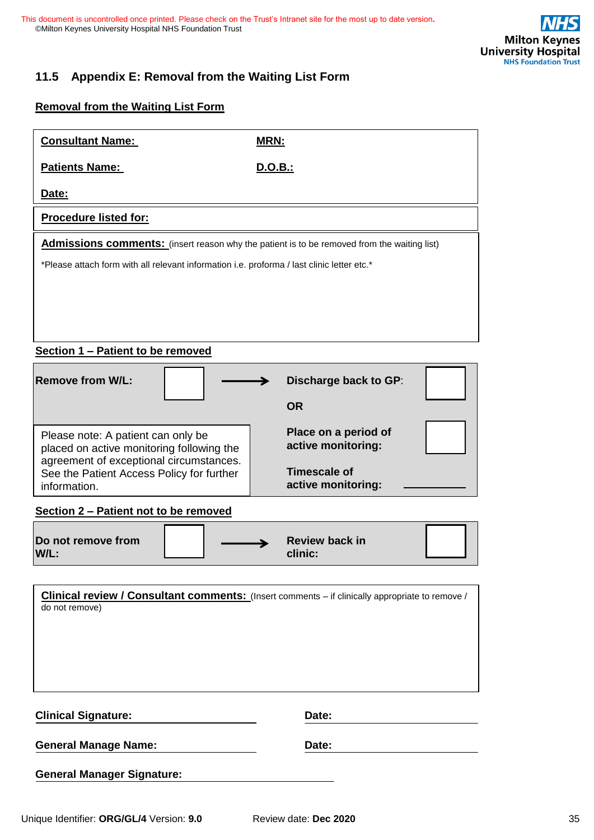

### **11.5 Appendix E: Removal from the Waiting List Form**

**Removal from the Waiting List Form** 

| <b>Consultant Name:</b>                                                                            | <b>MRN:</b>                                                                                            |
|----------------------------------------------------------------------------------------------------|--------------------------------------------------------------------------------------------------------|
| <b>Patients Name:</b>                                                                              | D.O.B.:                                                                                                |
| Date:                                                                                              |                                                                                                        |
| <b>Procedure listed for:</b>                                                                       |                                                                                                        |
| <b>Admissions comments:</b> (insert reason why the patient is to be removed from the waiting list) |                                                                                                        |
| *Please attach form with all relevant information i.e. proforma / last clinic letter etc.*         |                                                                                                        |
|                                                                                                    |                                                                                                        |
|                                                                                                    |                                                                                                        |
|                                                                                                    |                                                                                                        |
| Section 1 - Patient to be removed                                                                  |                                                                                                        |
| <b>Remove from W/L:</b>                                                                            | <b>Discharge back to GP:</b>                                                                           |
|                                                                                                    | <b>OR</b>                                                                                              |
| Please note: A patient can only be                                                                 | Place on a period of                                                                                   |
| placed on active monitoring following the<br>agreement of exceptional circumstances.               | active monitoring:                                                                                     |
| See the Patient Access Policy for further<br>information.                                          | Timescale of<br>active monitoring:                                                                     |
| Section 2 - Patient not to be removed                                                              |                                                                                                        |
|                                                                                                    |                                                                                                        |
| Do not remove from<br>W/L:                                                                         | <b>Review back in</b><br>clinic:                                                                       |
|                                                                                                    |                                                                                                        |
|                                                                                                    | <b>Clinical review / Consultant comments:</b> (Insert comments – if clinically appropriate to remove / |
| do not remove)                                                                                     |                                                                                                        |
|                                                                                                    |                                                                                                        |

**Clinical Signature:** Date:

General Manage Name: **Date:** Date:

**General Manager Signature:**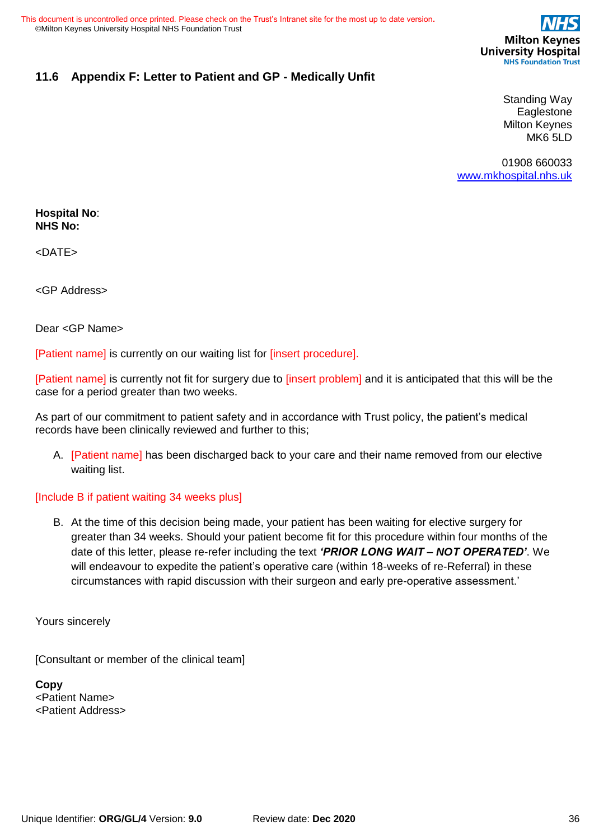

### **11.6 Appendix F: Letter to Patient and GP - Medically Unfit**

Standing Way Eaglestone Milton Keynes MK6 5LD

01908 660033 [www.mkhospital.nhs.uk](http://www.mkhospital.nhs.uk/)

**Hospital No**: **NHS No:** 

<DATE>

<GP Address>

Dear <GP Name>

[Patient name] is currently on our waiting list for [insert procedure].

[Patient name] is currently not fit for surgery due to [insert problem] and it is anticipated that this will be the case for a period greater than two weeks.

As part of our commitment to patient safety and in accordance with Trust policy, the patient's medical records have been clinically reviewed and further to this;

A. [Patient name] has been discharged back to your care and their name removed from our elective waiting list.

#### [Include B if patient waiting 34 weeks plus]

B. At the time of this decision being made, your patient has been waiting for elective surgery for greater than 34 weeks. Should your patient become fit for this procedure within four months of the date of this letter, please re-refer including the text *'PRIOR LONG WAIT – NOT OPERATED'*. We will endeavour to expedite the patient's operative care (within 18-weeks of re-Referral) in these circumstances with rapid discussion with their surgeon and early pre-operative assessment.'

Yours sincerely

[Consultant or member of the clinical team]

**Copy**  <Patient Name> <Patient Address>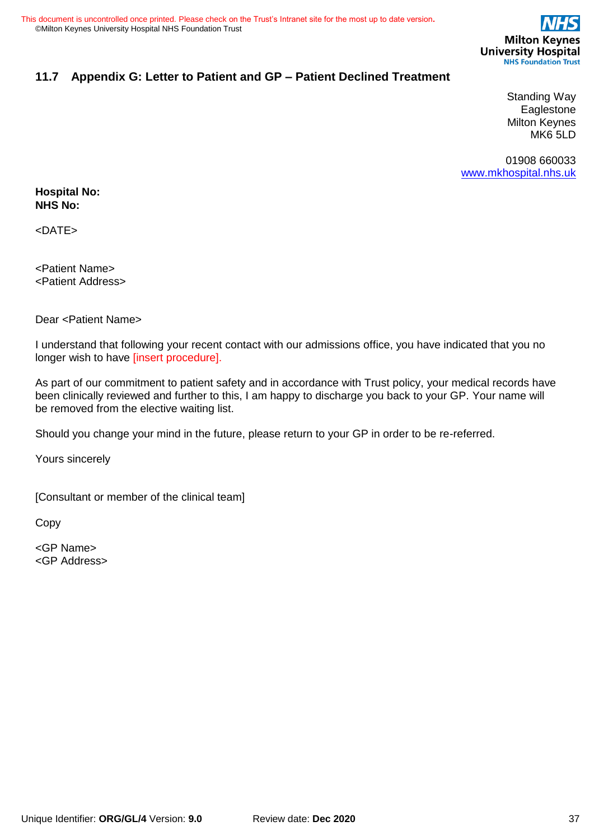

### **11.7 Appendix G: Letter to Patient and GP – Patient Declined Treatment**

Standing Way Eaglestone Milton Keynes MK6 5LD

01908 660033 [www.mkhospital.nhs.uk](http://www.mkhospital.nhs.uk/)

#### **Hospital No: NHS No:**

<DATE>

<Patient Name> <Patient Address>

Dear <Patient Name>

I understand that following your recent contact with our admissions office, you have indicated that you no longer wish to have [insert procedure].

As part of our commitment to patient safety and in accordance with Trust policy, your medical records have been clinically reviewed and further to this, I am happy to discharge you back to your GP. Your name will be removed from the elective waiting list.

Should you change your mind in the future, please return to your GP in order to be re-referred.

Yours sincerely

[Consultant or member of the clinical team]

Copy

<GP Name> <GP Address>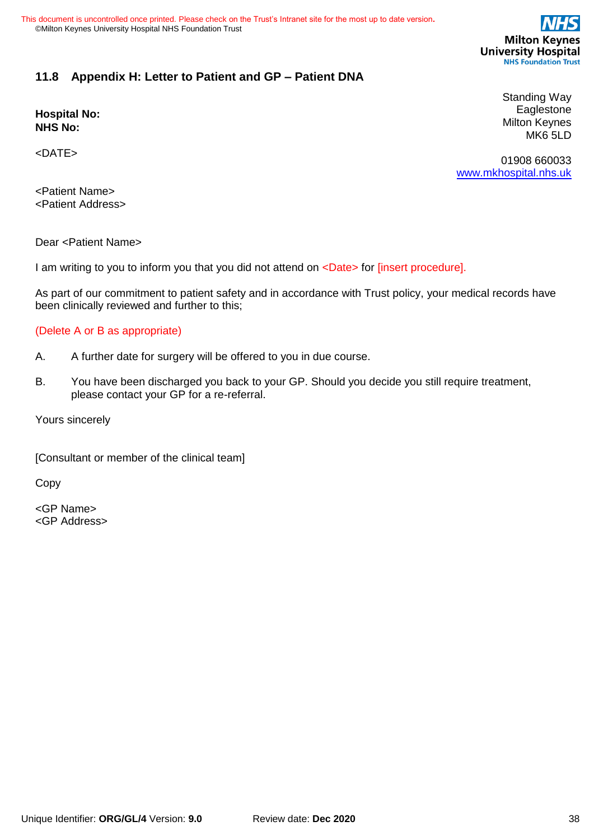

#### **11.8 Appendix H: Letter to Patient and GP – Patient DNA**

**Hospital No: NHS No:** 

<DATE>

Standing Way Eaglestone Milton Keynes MK6 5LD

01908 660033 [www.mkhospital.nhs.uk](http://www.mkhospital.nhs.uk/)

<Patient Name> <Patient Address>

Dear <Patient Name>

I am writing to you to inform you that you did not attend on <Date> for [insert procedure].

As part of our commitment to patient safety and in accordance with Trust policy, your medical records have been clinically reviewed and further to this;

#### (Delete A or B as appropriate)

- A. A further date for surgery will be offered to you in due course.
- B. You have been discharged you back to your GP. Should you decide you still require treatment, please contact your GP for a re-referral.

Yours sincerely

[Consultant or member of the clinical team]

Copy

<GP Name> <GP Address>